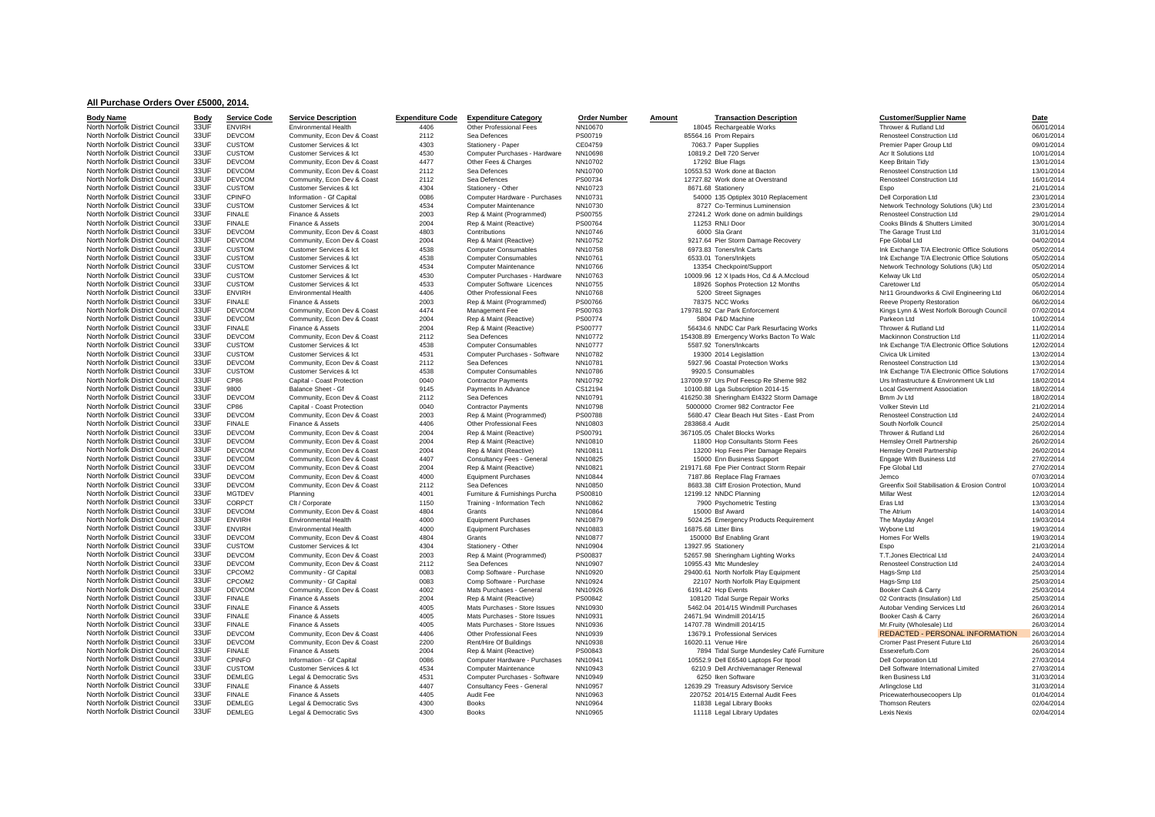## **All Purchase Orders Over £5000, 2014.**

| <b>Body Name</b>               | <b>Body</b>  | <b>Service Code</b> | <b>Service Description</b>  | <b>Expenditure Code</b> | <b>Expenditure Category</b>            | <b>Order Number</b> | Amount         | <b>Transaction Description</b>                                                      | <b>Customer/Supplier Name</b>                              | Date       |
|--------------------------------|--------------|---------------------|-----------------------------|-------------------------|----------------------------------------|---------------------|----------------|-------------------------------------------------------------------------------------|------------------------------------------------------------|------------|
| North Norfolk District Council | 33UF         | <b>ENVIRH</b>       | Environmental Health        | 4406                    | Other Professional Fees                | NN10670             |                | 18045 Rechargeable Works                                                            | Thrower & Rutland Ltd                                      | 06/01/2014 |
| North Norfolk District Council | 33UF         | <b>DEVCOM</b>       | Community, Econ Dev & Coast | 2112                    | Sea Defences                           | PS00719             |                | 85564.16 Prom Repairs                                                               | <b>Renosteel Construction Ltd</b>                          | 06/01/2014 |
| North Norfolk District Council | 33UF         | <b>CUSTOM</b>       | Customer Services & Ict     | 4303                    | Stationery - Paper                     | CE04759             |                | 7063.7 Paper Supplies                                                               | Premier Paper Group Ltd                                    | 09/01/2014 |
| North Norfolk District Council | 33UF         | <b>CUSTOM</b>       | Customer Services & Ict     | 4530                    | Computer Purchases - Hardware          | NN10698             |                | 10819.2 Dell 720 Server                                                             | Acr It Solutions Ltd                                       | 10/01/2014 |
| North Norfolk District Council | 33UF         | <b>DEVCOM</b>       | Community, Econ Dev & Coast | 4477                    | Other Fees & Charges                   | NN10702             |                | 17292 Blue Flags                                                                    | Keep Britain Tidv                                          | 13/01/2014 |
| North Norfolk District Council | 33UF         | <b>DEVCOM</b>       | Community, Econ Dev & Coast | 2112                    | Sea Defences                           | NN10700             |                | 10553.53 Work done at Bacton                                                        | Renosteel Construction Ltd                                 | 13/01/2014 |
| North Norfolk District Council | 33UF         | <b>DEVCOM</b>       | Community, Econ Dev & Coast | 2112                    | Sea Defences                           | PS00734             |                | 12727.82 Work done at Overstrand                                                    | Renosteel Construction Ltd                                 | 16/01/2014 |
| North Norfolk District Council | 33UF         | <b>CUSTOM</b>       | Customer Services & Ict     | 4304                    | Stationery - Other                     | NN10723             |                | 8671.68 Stationerv                                                                  | Espo                                                       | 21/01/2014 |
| North Norfolk District Council | 33UF         | CPINFO              | Information - Gf Capital    | 0086                    | Computer Hardware - Purchases          | NN10731             |                | 54000 135 Optiplex 3010 Replacement                                                 | Dell Corporation Ltd                                       | 23/01/2014 |
| North Norfolk District Council | 33UF         | <b>CUSTOM</b>       | Customer Services & Ict     | 4534                    | Computer Maintenance                   | NN10730             |                | 8727 Co-Terminus Luminension                                                        | Network Technology Solutions (Uk) Ltd                      | 23/01/2014 |
| North Norfolk District Council | 33UF         | <b>FINALE</b>       | Finance & Assets            | 2003                    | Rep & Maint (Programmed)               | PS00755             |                | 27241.2 Work done on admin buildings                                                | Renosteel Construction Ltd                                 | 29/01/2014 |
| North Norfolk District Council | 33UF         | <b>FINALE</b>       | Finance & Assets            | 2004                    | Rep & Maint (Reactive)                 | PS00764             |                | 11253 RNLI Door                                                                     | Cooks Blinds & Shutters Limited                            | 30/01/2014 |
| North Norfolk District Council | 33UF         | <b>DEVCOM</b>       | Community, Econ Dev & Coast | 4803                    | Contributions                          | NN10746             |                | 6000 Sla Grant                                                                      | The Garage Trust Ltd                                       | 31/01/2014 |
| North Norfolk District Council | 33UF         | <b>DEVCOM</b>       | Community, Econ Dev & Coast | 2004                    | Rep & Maint (Reactive)                 | NN10752             |                | 9217.64 Pier Storm Damage Recovery                                                  | Fpe Global Ltd                                             | 04/02/2014 |
| North Norfolk District Council | 33UF         | <b>CUSTOM</b>       | Customer Services & Ict     | 4538                    | <b>Computer Consumables</b>            | NN10758             |                | 6973.83 Toners/Ink Carts                                                            | Ink Exchange T/A Electronic Office Solutions               | 05/02/2014 |
| North Norfolk District Council | 33UF         | <b>CUSTOM</b>       | Customer Services & Ict     | 4538                    | <b>Computer Consumables</b>            | NN10761             |                | 6533.01 Toners/Inkjets                                                              | Ink Exchange T/A Electronic Office Solutions               | 05/02/2014 |
| North Norfolk District Council | 33UF         | <b>CUSTOM</b>       | Customer Services & Ict     | 4534                    | Computer Maintenance                   | NN10766             |                | 13354 Checkpoint/Support                                                            | Network Technology Solutions (Uk) Ltd                      | 05/02/2014 |
| North Norfolk District Council | 33UF         | <b>CUSTOM</b>       | Customer Services & Ict     | 4530                    | Computer Purchases - Hardware          | NN10763             |                | 10009.96 12 X Ipads Hos, Cd & A.Mccloud                                             | Kelway Uk Ltd                                              | 05/02/2014 |
| North Norfolk District Council | 33UF         | <b>CUSTOM</b>       | Customer Services & Ict     | 4533                    | Computer Software Licences             | NN10755             |                | 18926 Sophos Protection 12 Months                                                   | Caretower Ltd                                              | 05/02/2014 |
| North Norfolk District Council | 33UF         | <b>ENVIRH</b>       | <b>Fnvironmental Health</b> | 4406                    | Other Professional Fees                | NN10768             |                | 5200 Street Signages                                                                | Nr11 Groundworks & Civil Engineering Ltd                   | 06/02/2014 |
| North Norfolk District Council | 33UF         | <b>FINALE</b>       | Finance & Assets            | 2003                    | Rep & Maint (Programmed)               | PS00766             |                | 78375 NCC Works                                                                     | Reeve Property Restoration                                 | 06/02/2014 |
| North Norfolk District Council | 33UF         | <b>DEVCOM</b>       | Community, Econ Dev & Coast | 4474                    | Management Fee                         | PS00763             |                | 179781.92 Car Park Enforcement                                                      | Kings Lynn & West Norfolk Borough Council                  | 07/02/2014 |
| North Norfolk District Council | 33UF         | <b>DEVCOM</b>       | Community, Econ Dev & Coast | 2004                    | Rep & Maint (Reactive)                 | PS00774             |                | 5804 P&D Machine                                                                    | Parkeon Ltd                                                | 10/02/2014 |
| North Norfolk District Council | 33UF         | <b>FINALE</b>       |                             | 2004                    |                                        |                     |                |                                                                                     |                                                            | 11/02/2014 |
| North Norfolk District Council | 33UF         | <b>DEVCOM</b>       | Finance & Assets            | 2112                    | Rep & Maint (Reactive)<br>Sea Defences | PS00777<br>NN10772  |                | 56434.6 NNDC Car Park Resurfacing Works<br>154308.89 Emergency Works Bacton To Walc | Thrower & Rutland Ltd<br><b>Mackinnon Construction Ltd</b> | 11/02/2014 |
| North Norfolk District Council | 33UF         | <b>CUSTOM</b>       | Community, Econ Dev & Coast | 4538                    |                                        | NN10777             |                | 5587.92 Toners/Inkcarts                                                             |                                                            | 12/02/2014 |
| North Norfolk District Council | 33UF         |                     | Customer Services & Ict     |                         | <b>Computer Consumables</b>            |                     |                |                                                                                     | Ink Exchange T/A Electronic Office Solutions               |            |
| North Norfolk District Council | 33UF         | <b>CUSTOM</b>       | Customer Services & Ict     | 4531                    | Computer Purchases - Software          | NN10782             |                | 19300 2014 Legislattion                                                             | Civica Uk Limited                                          | 13/02/2014 |
|                                | 33UF         | <b>DEVCOM</b>       | Community, Econ Dev & Coast | 2112                    | Sea Defences                           | NN10781             |                | 5927.96 Coastal Protection Works                                                    | Renosteel Construction Ltd                                 | 13/02/2014 |
| North Norfolk District Council |              | <b>CUSTOM</b>       | Customer Services & Ict     | 4538                    | <b>Computer Consumables</b>            | NN10786             |                | 9920.5 Consumables                                                                  | Ink Exchange T/A Electronic Office Solutions               | 17/02/2014 |
| North Norfolk District Council | 33UF<br>33UF | CP86                | Capital - Coast Protection  | 0040                    | <b>Contractor Payments</b>             | NN10792             |                | 137009.97 Urs Prof Feescp Re Sheme 982                                              | Urs Infrastructure & Environment Uk Ltd                    | 18/02/2014 |
| North Norfolk District Council |              | 9800                | Balance Sheet - Gf          | 9145                    | Payments In Advance                    | CS12194             |                | 10100.88 Lga Subscription 2014-15                                                   | <b>Local Government Association</b>                        | 18/02/2014 |
| North Norfolk District Council | 33UF         | <b>DEVCOM</b>       | Community, Econ Dev & Coast | 2112                    | Sea Defences                           | NN10791             |                | 416250.38 Sheringham Et4322 Storm Damage                                            | Bmm Jv Ltd                                                 | 18/02/2014 |
| North Norfolk District Council | 33UF         | CP86                | Capital - Coast Protection  | 0040                    | <b>Contractor Payments</b>             | NN10798             |                | 5000000 Cromer 982 Contractor Fee                                                   | Volker Stevin Ltd                                          | 21/02/2014 |
| North Norfolk District Council | 33UF         | <b>DEVCOM</b>       | Community, Econ Dev & Coast | 2003                    | Rep & Maint (Programmed)               | PS00788             |                | 5680.47 Clear Beach Hut Sites - East Prom                                           | Renosteel Construction Ltd                                 | 24/02/2014 |
| North Norfolk District Council | 33UF         | <b>FINALE</b>       | Finance & Assets            | 4406                    | Other Professional Fees                | NN10803             | 283868.4 Audit |                                                                                     | South Norfolk Council                                      | 25/02/2014 |
| North Norfolk District Council | 33UF         | <b>DEVCOM</b>       | Community, Econ Dev & Coast | 2004                    | Rep & Maint (Reactive)                 | PS00791             |                | 367105.05 Chalet Blocks Works                                                       | Thrower & Rutland Ltd                                      | 26/02/2014 |
| North Norfolk District Council | 33UF         | <b>DEVCOM</b>       | Community, Econ Dev & Coast | 2004                    | Rep & Maint (Reactive)                 | NN10810             |                | 11800 Hop Consultants Storm Fees                                                    | <b>Hemsley Orrell Partnership</b>                          | 26/02/2014 |
| North Norfolk District Council | 33UF         | <b>DEVCOM</b>       | Community, Econ Dev & Coast | 2004                    | Rep & Maint (Reactive)                 | NN10811             |                | 13200 Hop Fees Pier Damage Repairs                                                  | Hemsley Orrell Partnership                                 | 26/02/2014 |
| North Norfolk District Council | 33UF         | <b>DEVCOM</b>       | Community, Econ Dev & Coast | 4407                    | Consultancy Fees - General             | NN10825             |                | 15000 Enn Business Support                                                          | Engage With Business Ltd                                   | 27/02/2014 |
| North Norfolk District Council | 33UF         | <b>DEVCOM</b>       | Community, Econ Dev & Coast | 2004                    | Rep & Maint (Reactive)                 | NN10821             |                | 219171.68 Fpe Pier Contract Storm Repair                                            | Fpe Global Ltd                                             | 27/02/2014 |
| North Norfolk District Council | 33UF         | <b>DEVCOM</b>       | Community, Econ Dev & Coast | 4000                    | <b>Equipment Purchases</b>             | NN10844             |                | 7187.86 Replace Flag Framaes                                                        | Jemco                                                      | 07/03/2014 |
| North Norfolk District Council | 33UF         | <b>DEVCOM</b>       | Community, Econ Dev & Coast | 2112                    | Sea Defences                           | NN10850             |                | 8683.38 Cliff Erosion Protection, Mund                                              | Greenfix Soil Stabilisation & Erosion Control              | 10/03/2014 |
| North Norfolk District Council | 33UF         | <b>MGTDEV</b>       | Planning                    | 4001                    | Furniture & Furnishings Purcha         | PS00810             |                | 12199.12 NNDC Planning                                                              | Millar West                                                | 12/03/2014 |
| North Norfolk District Council | 33UF         | CORPCT              | Clt / Corporate             | 1150                    | Training - Information Tech            | NN10862             |                | 7900 Psychometric Testing                                                           | Eras Ltd                                                   | 13/03/2014 |
| North Norfolk District Council | 33UF         | <b>DEVCOM</b>       | Community, Econ Dev & Coast | 4804                    | Grants                                 | NN10864             |                | 15000 Bsf Award                                                                     | The Atrium                                                 | 14/03/2014 |
| North Norfolk District Council | 33UF         | <b>ENVIRH</b>       | <b>Environmental Health</b> | 4000                    | <b>Equipment Purchases</b>             | NN10879             |                | 5024.25 Emergency Products Requirement                                              | The Mayday Angel                                           | 19/03/2014 |
| North Norfolk District Council | 33UF         | <b>ENVIRH</b>       | <b>Environmental Health</b> | 4000                    | <b>Equipment Purchases</b>             | NN10883             |                | 16875.68 Litter Bins                                                                | Wybone Ltd                                                 | 19/03/2014 |
| North Norfolk District Council | 33UF         | <b>DEVCOM</b>       | Community, Econ Dev & Coast | 4804                    | Grants                                 | NN10877             |                | 150000 Bsf Enabling Grant                                                           | Homes For Wells                                            | 19/03/2014 |
| North Norfolk District Council | 33UF         | <b>CUSTOM</b>       | Customer Services & Ict     | 4304                    | Stationery - Other                     | NN10904             |                | 13927.95 Stationerv                                                                 | Espo                                                       | 21/03/2014 |
| North Norfolk District Council | 33UF         | <b>DEVCOM</b>       | Community, Econ Dev & Coast | 2003                    | Rep & Maint (Programmed)               | PS00837             |                | 52657.98 Sheringham Lighting Works                                                  | T.T.Jones Electrical Ltd                                   | 24/03/2014 |
| North Norfolk District Council | 33UF         | <b>DEVCOM</b>       | Community, Econ Dev & Coast | 2112                    | Sea Defences                           | NN10907             |                | 10955.43 Mtc Mundesley                                                              | Renosteel Construction Ltd                                 | 24/03/2014 |
| North Norfolk District Council | 33UF         | CPCOM2              | Community - Gf Capital      | 0083                    | Comp Software - Purchase               | NN10920             |                | 29400.61 North Norfolk Play Equipment                                               | Hags-Smp Ltd                                               | 25/03/2014 |
| North Norfolk District Council | 33UF         | CPCOM2              | Community - Gf Capital      | 0083                    | Comp Software - Purchase               | NN10924             |                | 22107 North Norfolk Play Equipment                                                  | Hags-Smp Ltd                                               | 25/03/2014 |
| North Norfolk District Council | 33UF         | <b>DEVCOM</b>       | Community, Econ Dev & Coast | 4002                    | Mats Purchases - General               | NN10926             |                | 6191.42 Hcp Events                                                                  | Booker Cash & Carry                                        | 25/03/2014 |
| North Norfolk District Council | 33UF         | <b>FINALE</b>       | Finance & Assets            | 2004                    | Rep & Maint (Reactive)                 | PS00842             |                | 108120 Tidal Surge Repair Works                                                     | 02 Contracts (Insulation) Ltd                              | 25/03/2014 |
| North Norfolk District Council | 33UF         | <b>FINALE</b>       | Finance & Assets            | 4005                    | Mats Purchases - Store Issues          | NN10930             |                | 5462.04 2014/15 Windmill Purchases                                                  | Autobar Vending Services Ltd                               | 26/03/2014 |
| North Norfolk District Council | 33UF         | <b>FINALE</b>       | Finance & Assets            | 4005                    | Mats Purchases - Store Issues          | NN10931             |                | 24671.94 Windmill 2014/15                                                           | Booker Cash & Carry                                        | 26/03/2014 |
| North Norfolk District Council | 33UF         | <b>FINALE</b>       | Finance & Assets            | 4005                    | Mats Purchases - Store Issues          | NN10936             |                | 14707.78 Windmill 2014/15                                                           | Mr.Fruity (Wholesale) Ltd                                  | 26/03/2014 |
| North Norfolk District Council | 33UF         | <b>DEVCOM</b>       | Community, Econ Dev & Coast | 4406                    | Other Professional Fees                | NN10939             |                | 13679.1 Professional Services                                                       | REDACTED - PERSONAL INFORMATION                            | 26/03/2014 |
| North Norfolk District Council | 33UF         | <b>DEVCOM</b>       | Community, Econ Dev & Coast | 2200                    | Rent/Hire Of Buildings                 | NN10938             |                | 16020.11 Venue Hire                                                                 | Cromer Past Present Future Ltd                             | 26/03/2014 |
| North Norfolk District Council | 33UF         | <b>FINALE</b>       | Finance & Assets            | 2004                    | Rep & Maint (Reactive)                 | PS00843             |                | 7894 Tidal Surge Mundesley Café Furniture                                           | Essexrefurb.Com                                            | 26/03/2014 |
| North Norfolk District Council | 33UF         | CPINFO              | Information - Gf Capital    | 0086                    | Computer Hardware - Purchases          | NN10941             |                | 10552.9 Dell E6540 Laptops For Itpool                                               | Dell Corporation Ltd                                       | 27/03/2014 |
| North Norfolk District Council | 33UF         | <b>CUSTOM</b>       | Customer Services & Ict     | 4534                    | Computer Maintenance                   | NN10943             |                | 6210.9 Dell Archivemanager Renewal                                                  | Dell Software International Limited                        | 27/03/2014 |
| North Norfolk District Council | 33UF         | <b>DEMLEG</b>       | Legal & Democratic Svs      | 4531                    | Computer Purchases - Software          | NN10949             |                | 6250 Iken Software                                                                  | Iken Business Ltd                                          | 31/03/2014 |
| North Norfolk District Council | 33UF         | <b>FINALE</b>       | Finance & Assets            | 4407                    | Consultancy Fees - General             | NN10957             |                | 12639.29 Treasury Adsvisory Service                                                 | Arlingclose Ltd                                            | 31/03/2014 |
| North Norfolk District Council | 33UF         | <b>FINALE</b>       | Finance & Assets            | 4405                    | Audit Fee                              | NN10963             |                | 220752 2014/15 External Audit Fees                                                  | Pricewaterhousecoopers Llp                                 | 01/04/2014 |
| North Norfolk District Council | 33UF         | <b>DEMLEG</b>       | Legal & Democratic Svs      | 4300                    | <b>Books</b>                           | NN10964             |                | 11838 Legal Library Books                                                           | <b>Thomson Reuters</b>                                     | 02/04/2014 |
| North Norfolk District Council | 33UF         | <b>DEMLEG</b>       | Legal & Democratic Svs      | 4300                    | <b>Books</b>                           | NN10965             |                | 11118 Legal Library Updates                                                         | Lexis Nexis                                                | 02/04/2014 |

| <u>ervice Description</u>                                |  |
|----------------------------------------------------------|--|
| nvironmental Health                                      |  |
| ommunity, Econ Dev & Coast                               |  |
| ustomer Services & Ict                                   |  |
| ustomer Services & Ict                                   |  |
| ommunity, Econ Dev & Coast                               |  |
| ommunity, Econ Dev & Coast<br>ommunity, Econ Dev & Coast |  |
| ustomer Services & Ict                                   |  |
| formation - Gf Capital                                   |  |
| ustomer Services & Ict                                   |  |
| inance & Assets                                          |  |
| inance & Assets                                          |  |
| ommunity, Econ Dev & Coast                               |  |
| ommunity, Econ Dev & Coast                               |  |
| ustomer Services & Ict                                   |  |
| ustomer Services & Ict                                   |  |
| ustomer Services & Ict                                   |  |
| ustomer Services & Ict                                   |  |
| ustomer Services & Ict                                   |  |
| nvironmental Health                                      |  |
| inance & Assets                                          |  |
| ommunity, Econ Dev & Coast                               |  |
| ommunity, Econ Dev & Coast                               |  |
| inance & Assets                                          |  |
| ommunity, Econ Dev & Coast                               |  |
| ustomer Services & Ict                                   |  |
| ustomer Services & Ict                                   |  |
| ommunity, Econ Dev & Coast<br>ustomer Services & Ict     |  |
| apital - Coast Protection                                |  |
| alance Sheet - Gf                                        |  |
| ommunity, Econ Dev & Coast                               |  |
| apital - Coast Protection                                |  |
| ommunity, Econ Dev & Coast                               |  |
| inance & Assets                                          |  |
| ommunity, Econ Dev & Coast<br>ommunity, Econ Dev & Coast |  |
|                                                          |  |
| ommunity, Econ Dev & Coast                               |  |
| ommunity, Econ Dev & Coast                               |  |
| ommunity, Econ Dev & Coast                               |  |
| ommunity, Econ Dev & Coast<br>ommunity, Econ Dev & Coast |  |
|                                                          |  |
| lanning                                                  |  |
| It / Corporate                                           |  |
| ommunity, Econ Dev & Coast<br>nvironmental Health        |  |
| nvironmental Health                                      |  |
| ommunity, Econ Dev & Coast                               |  |
| ustomer Services & Ict                                   |  |
| ommunity, Econ Dev & Coast                               |  |
| ommunity, Econ Dev & Coast                               |  |
| ommunity - Gf Capital                                    |  |
| ommunity - Gf Capital                                    |  |
| ommunity, Econ Dev & Coast                               |  |
| inance & Assets                                          |  |
| inance & Assets                                          |  |
| inance & Assets                                          |  |
| inance & Assets                                          |  |
| ommunity, Econ Dev & Coast                               |  |
| ommunity, Econ Dev & Coast                               |  |
| inance & Assets                                          |  |
| formation - Gf Capital                                   |  |
| ustomer Services & Ict                                   |  |
| egal & Democratic Svs                                    |  |
| inance & Assets                                          |  |
| inance & Assets<br>egal & Democratic Svs                 |  |
| egal & Democratic Svs                                    |  |
|                                                          |  |

## Service Description Expenditure Code Expenditure Category Crider Number Amount Transaction Description Customer/Supplier Name Date Date<br>
Environmental Health 4406 4406 Other Professional Fees NN10670 18045 Rechargeable Wor North North North North North Assemble Maintenance North North North North North North North North North North 2001<br>North North North North North North North North North North North North North North North Network Network Customer Services & Ict 4530 Computer Purchases - Hardware NN10763 10009.96 12 X Ipads Hos, Cd & A.Mccloud Kelway Uk Ltd 05/02/2014 1692014<br>Customer Services & Ict 4533 Computer Software Licences NN10755 18926 Sophos Prote North North Norfolk District Council 2003 Council 2003 Council 2003 Council 3300 Street Signages NR11 Groundworks & Civil Engineering Ltd 06/02/2014<br>1406 Other Professional Fees NR110768 5200 Street Signages NR11 Groundwor North North North North District Council 33UF District Council 33UF District Council 33UF District Control 200<br>Community, Econ Dev & Coast 2004 Rep. & Management Fee PS00763 179781.92 Car Park Enforcement Kings Lynn & West Community, Econ Dev & Coast 2112 Sea Defences NN10772 154308.89 Emergency Works Bacton To Walc Mackinnon Construction Ltd 11/02/2014<br>Customer Services & Ict as Community Consumables NN10777 5587.92 Toners/Inkcarts Ink Exch North North North North North Description 2014 10100.88 Lga Subscription 2014-15 Local Government Association 18/02/2014<br>Community. Econ Dev & Coast 2112 Sea Defences NN10791 NN10791 416250.38 Sheringham Et4322 Storm Damag North North Norfolk District Council 2112 March 2012 1120250.38 Sheringham Et4322 Storm Damage Bmm Jv Ltd 2112 Sea Defences Nurth 2112 212 212 2112 18/02/2014<br>Contractor Payments NN10798 5000000 Cromer 982 Contractor Fee V Community, Econ Dev & Coast 2112 Sea Defences NN10850 NORTON 8683.38 Cliff Erosion Protection, Mund Greenfix Soil Stabilisation & Erosion Control 10/03/2014<br>Planning Council 2001 Furniture & Eurnishings Purcha PS00810 1219 North North North 2000 Equipment Purchases NN10879 5024.25 Emergency Products Requirement The Mayday Angel 19/03/2014<br>And Environmental Health 4000 Equipment Purchases NN10883 16875.68 Litter Bins 19/03/2014 Wybone Ltd Wyb North North Norfolk District Council 3403/2014<br>North Norfolk District Council 34001/2014 Rep & Maint (Programmed) PS00837 52657.98 Sheringham Lighting Works T.T.Jones Electrical Ltd 24/03/2014<br>Community, Econ Dev & Coast 2 North North Norfolk District Council 26/03/2014 Mats Purchases - Store Issues NN10930 19462.04 2014/15 Windmill Purchases 4006 Mats Purchases - Store Issues NN10930 1405 26/03/2014 21671.94 Windmill 2014/15 Windmill 2014/1 North Norfolk District Council 33UF FINALE Finance & Assets 2004 Rep & Maint (Reactive) PS00843 7894 Tidal Surge Mundesley Café Furniture Essexrefurb.Com 26/03/2014 North North North North District Council 2012 - The Consultancy Fees - General North North North 2012<br>The Same Consultancy Fees - General NN10957 12639.29 Treasury Adsvisory Service Arlingclose Ltd Arlingclose Ltd<br>Finance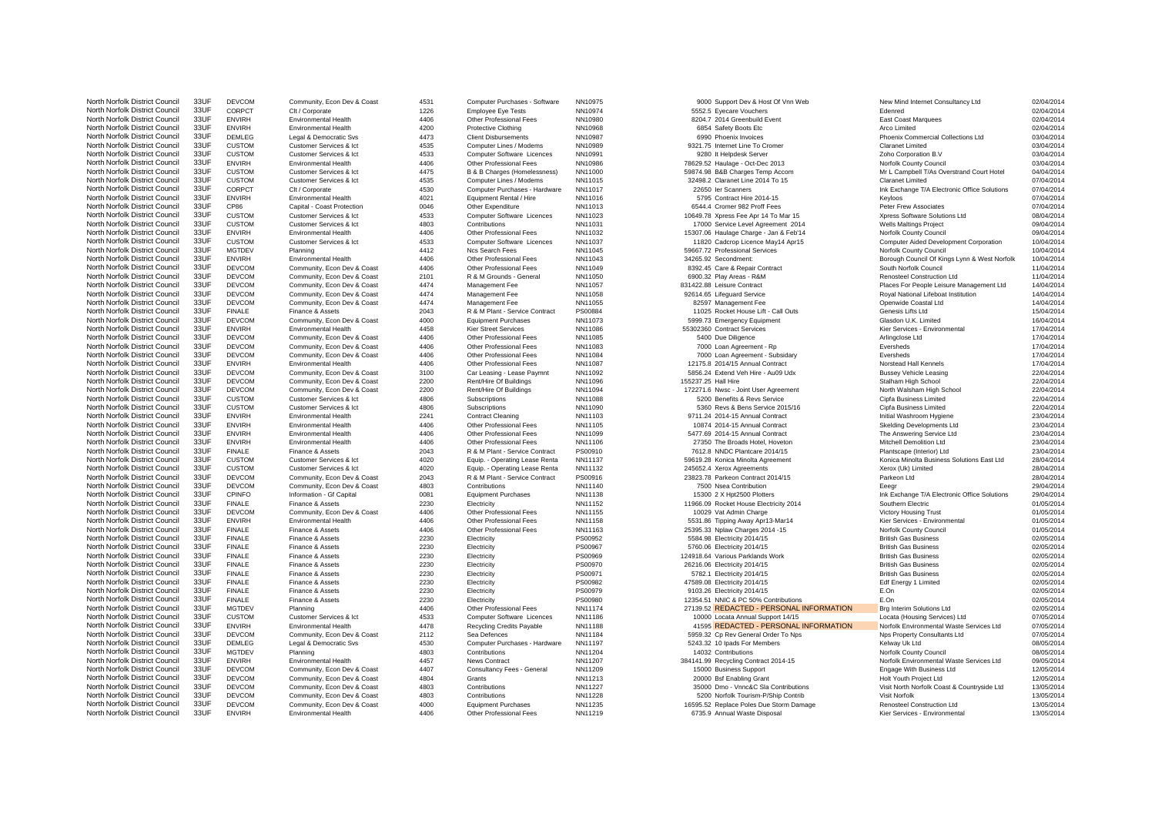North Norfolk District Council 33UF DEVCOM Community, Econ Dev & Coast 4531 Computer Purchases - Software NN10975 9000 Support Dev & Host Of Vnn Web New Mind Internet Consultancy Ltd 02/04/2014 North Norfolk District Council 33UF ENVIRH Environmental Health 4406 Other Professional Fees NN11219 6735.9 Annual Waste Disposal Kier Services - Environmental 13/05/2014

North Norfolk District Council 33UF CORPCT Clt / Corporate 1226 Employee Eye Tests NN10974 5552.5 Eyecare Vouchers Edenred Edenred 12204/2014 North Norfolk District Council 33UF ENVIRH Environmental Health 4406 Other Professional Fees NN10980 8204.7 2014 Greenbuild Event East Coast Marquees 02/04/2014 North Norfolk District Council 33UF ENVIRH Environmental Health 4200 Protective Clothing NN10968 6854 Safety Boots Etc Arco Limited Arco Limited 02/04/2014 North Norfolk District Council 33UF DEMLEG Legal & Democratic Svs 4473 Client Disbursements NN10987 6990 Phoenix Invoices Phoenix Commercial Collections Ltd 03/04/2014 North Norfolk District Council 33UF CUSTOM Customer Services & Ict 4535 Computer Lines / Modems NN10989 9321.75 Internet Line To Cromer Claranet Limited Claranet Limited 03/04/2014 North Norfolk District Council 33UF CUSTOM Customer Services & Ict 4533 Computer Software Licences NN10991 9280 It Helpdesk Server Zoho Corporation B.V 03/04/2014 North Norfolk District Council 33UF ENVIRH Environmental Health 4406 Other Professional Fees NN10986 78629.52 Haulage - Oct-Dec 2013 Norfolk County Council 03/04/2014 North Norfolk District Council 33UF CUSTOM Customer Services & Ict 4475 B & B Charges (Homelessness) NN11000 59874.98 B&B Charges Temp Accom Mr L Campbell T/As Overstrand Court Hotel 04/04/2014 North Norfolk District Council 33UF CUSTOM Customer Services & Ict 4535 Computer Lines / Modems NN11015 32498.2 Claranet Line 2014 To 15 Claranet Limited Claranet Limited 07/04/2014 North Norfolk District Council 33UF CORPCT Clt / Corporate 4530 Computer Purchases - Hardware NN11017 22650 Ier Scanners 22650 Ier Scanners Ink Exchange T/A Electronic Office Solutions 07/04/2014 North Norfolk District Council 33UF ENVIRH Environmental Health 4021 Equipment Rental / Hire NN11016 5795 Contract Hire 2014-15 Keyloos Keyloos 67/04/2014 North Norfolk District Council 33UF CP86 Capital - Coast Protection 0046 Other Expenditure NN11013 6544.4 Cromer 982 Proff Fees Peter Frew Associates 07/04/2014 North Norfolk District Council 33UF CUSTOM Customer Services & Ict 4533 Computer Software Licences NN11023 10649.78 Xpress Fee Apr 14 To Mar 15 Xpress Software Solutions Ltd 08/04/2014<br>North Norfolk District Council 33UF C North Norfolk District Council 33UF CUSTOM Customer Services & Ict 4803 Contributions NN11031 17000 Service Level Agreement 2014 Wells Maltings Project 09/04/2014 North Norfolk District Council 33UF ENVIRH Environmental Health 4406 Other Professional Fees NN11032 15307.06 Haulage Charge - Jan & Feb'14 Norfolk County Council 09/04/2014 North Norfolk District Council 33UF CUSTOM Customer Services & Ict 4533 Computer Software Licences NN11037 11820 Cadcrop Licence May14 Apr15 Computer Aided Development Corporation 10/04/2014 North Norfolk District Council 33UF MGTDEV Planning 4412 Ncs Search Fees NN11045 59667.72 Professional Services Norfolk County Council 10/04/2014 North Norfolk District Council 33UF ENVIRH Environmental Health 4406 Other Professional Fees NN11043 34265.92 Secondment: Borough Council Of Kings Lynn & West Norfolk 10/04/2014 10/04/2014<br>North Norfolk District Council 33 North Norfolk District Council 33UF DEVCOM Community, Econ Dev & Coast 4406 Other Professional Fees NN11049 8392.45 Care & Repair Contract South Norfolk Council 11/04/2014 North Norfolk District Council 33UF DEVCOM Community, Econ Dev & Coast 2101 R & M Grounds - General NN11050 6900.32 Play Areas - R&M Renosteel Construction Ltd 11/04/2014 North Norfolk District Council 33UF DEVCOM Community, Econ Dev & Coast 4474 Management Fee NN11057 831422.88 Leisure Contract Places For People Leisure Management Ltd 14/04/2014 North Norfolk District Council 33UF DEVCOM Community, Econ Dev & Coast 4474 Management Fee NN11058 92614.65 Lifeguard Service Royal National Lifeboat Institution 14/04/2014 North Norfolk District Council 33UF DEVCOM Community, Econ Dev & Coast 4474 Management Fee NN11055 82597 Management Fee Openwide Coastal Ltd 14/04/2014 North Norfolk District Council 33UF FINALE Finance & Assets 2043 R & M Plant - Service Contract PS00884 11025 Rocket House Lift - Call Outs Genesis Lifts Ltd 15/04/2014 North Norfolk District Council 33UF DEVCOM Community, Econ Dev & Coast 4000 Equipment Purchases NN11073 5999.73 Emergency Equipment Glasdon U.K. Limited 16/04/2014 North Norfolk District Council 33UF ENVIRH Environmental Health 4458 Kier Street Services NN11086 55302360 Contract Services Kier Services - Environmental 17/04/2014 North Norfolk District Council 33UF DEVCOM Community, Econ Dev & Coast 4406 Other Professional Fees NN11085 5400 Due Diligence 5400 Due Diligence Arlingclose Ltd 17/04/2014 North Norfolk District Council 33UF DEVCOM Community, Econ Dev & Coast 4406 Other Professional Fees NN11083 7000 Loan Agreement - Rp Eversheds 17/04/2014 North Norfolk District Council 33UF DEVCOM Community, Econ Dev & Coast 4406 Other Professional Fees NN11084 7000 Loan Agreement - Subsidary Eversheds 17/04/2014 North Norfolk District Council 33UF ENVIRH Environmental Health 4406 Other Professional Fees NN11087 12175.8 2014/15 Annual Contract Norstead Hall Kennels Norstead Hall Kennels 17/04/2014 North Norfolk District Council 33UF DEVCOM Community, Econ Dev & Coast 3100 Car Leasing - Lease Paymnt NN11092 5856.24 Extend Veh Hire - Au09 Udx Bussey Vehicle Leasing 22/04/2014 North Norfolk District Council 33UF DEVCOM Community, Econ Dev & Coast 2200 Rent/Hire Of Buildings NN11096 155237.25 Hall Hire Stalham High School Stalham High School 22/04/2014 North Norfolk District Council 33UF DEVCOM Community, Econ Dev & Coast 2200 Rent/Hire Of Buildings NN11094 172271.6 Nwsc - Joint User Agreement North Walsham High School 22/04/2014 North Norfolk District Council 33UF CUSTOM Customer Services & Ict 4806 Subscriptions NN11088 5200 Benefits & Revs Service Cipfa Business Limited 22/04/2014 North Norfolk District Council 33UF CUSTOM Customer Services & Ict 4806 Subscriptions NN11090 5360 Revs & Bens Service 2015/16 Cipfa Business Limited 22/04/2014 North Norfolk District Council 33UF ENVIRH Environmental Health 2241 Contract Cleaning NN11103 9711.24 2014-15 Annual Contract Initial Washroom Hygiene 23/04/2014 North Norfolk District Council 33UF ENVIRH Environmental Health 4406 Other Professional Fees NN11105 10874 2014-15 Annual Contract Skelding Developments Ltd 23/04/2014 North Norfolk District Council 33UF ENVIRH Environmental Health 4406 Other Professional Fees NN11099 5477.69 2014-15 Annual Contract The Answering Service Ltd 23/04/2014 North Norfolk District Council 33UF ENVIRH Environmental Health 4406 Other Professional Fees NN11106 27350 The Broads Hotel, Hoveton Mitchell Demolition Ltd 23/04/2014 North Norfolk District Council 33UF FINALE Finance & Assets 2043 R & M Plant - Service Contract PS00910 7612.8 NNDC Plantcare 2014/15 Plantscape (Interior) Ltd 23/04/2014 North Norfolk District Council 33UF CUSTOM Customer Services & Ict 4020 Equip. - Operating Lease Renta NN11137 59619.28 Konica Minolta Agreement Konica Minolta Business Solutions East Ltd 28/04/2014 North Norfolk District Council 33UF CUSTOM Customer Services & Ict 4020 Equip. - Operating Lease Renta NN11132 245652.4 Xerox Agreements Xerox (Uk) Limited Xerox (Uk) Limited North Norfolk District Council 33UF DEVCOM Community, Econ Dev & Coast 2043 R & M Plant - Service Contract PS00916 28/02/378 Parkeon Contract 2014/15 Parkeon Ltd Parkeon Ltd 28/04/2014 North Norfolk District Council 33UF DEVCOM Community, Econ Dev & Coast 4803 Contributions NN11140 7500 Nsea Contribution Eeegr Eeegr 29/04/2014 North Norfolk District Council 33UF CPINFO Information - Gf Capital 0081 Equipment Purchases NN11138 15300 2 X Hpt2500 Plotters Ink Exchange T/A Electronic Office Solutions 29/04/2014<br>North Norfolk District Council 33UF FI North Norfolk District Council 33UF FINALE Finance & Assets 2230 Electricity 2018 NN11152 11966.09 Rocket House Electricity 2014 Southern Electric Southern Electric North Norfolk District Council 33UF DEVCOM Community, Econ Dev & Coast 4406 Other Professional Fees NN11155 10029 Vat Admin Charge Victory Housing Trust Victory Housing Trust 01/05/2014 North Norfolk District Council 33UF ENVIRH Environmental Health 4406 Other Professional Fees NN11158 5531.86 Tipping Away Apr13-Mar14 Kier Services - Environmental 01/05/2014 North Norfolk District Council 33UF FINALE Finance & Assets 4406 Other Professional Fees NN11163 25395.33 Nplaw Charges 2014 -15 Norfolk County Council 01/05/2014 North Norfolk District Council 33UF FINALE Finance & Assets 2230 Electricity PS00952 5584.98 Electricity 2014/15 British Gas Business 22/05/2014 North Norfolk District Council 33UF FINALE Finance & Assets 2230 Electricity PS00967 5760.06 Electricity 2014/15 British Gas Business 22/05/2014 North Norfolk District Council 33UF FINALE Finance & Assets 2230 Electricity PS00969 124918.64 Various Parklands Work British Gas Business 22/05/2014 North Norfolk District Council 33UF FINALE Finance & Assets 2230 Electricity PS00970 26216.06 Electricity 2014/15 British Gas Business 22/05/2014 North Norfolk District Council 33UF FINALE Finance & Assets 2230 Electricity PS00971 FROM FOREXALLE Extricity 2014/15 British Gas Business 22/05/2014 North Norfolk District Council 33UF FINALE Finance & Assets 2230 Electricity PS00982 47589.08 Electricity 2014/15 Edf Energy 1 Limited 02/05/2014 North Norfolk District Council 33UF FINALE Finance & Assets 2230 Electricity PS00979 9103.26 Electricity 2014/15 E.On E.On 02/05/2014 North Norfolk District Council 33UF FINALE Finance & Assets 2230 Electricity PS00980 12354.51 NNIC & PC 50% Contributions E.On E.On 02/05/2014 North Norfolk District Council 33UF MGTDEV Planning and the second and the Professional Fees NN11174 27139.52 REDACTED - PERSONAL INFORMATION Brg Interim Solutions Ltd 02/05/2014<br>North Norfolk District Council 33UF CUSTOM North Norfolk District Council 33UF CUSTOM Customer Services & Ict 4533 Computer Software Licences NN11186 10000 Locata Annual Support 14/15 Locata (Housing Services) Ltd 07/05/2014 North Norfolk District Council 33UF ENVIRH Environmental Health 4478 Recycling Credits Payable NN11188 41595 REDACTED - PERSONAL INFORMATION Norfolk Environmental Waste Services Ltd 07/05/2014<br>North Norfolk District Counci North Norfolk District Council 33UF DEVCOM Community, Econ Dev & Coast 2112 Sea Defences NN11184 5959.32 Cp Rev General Order To Nps North Nors Property Consultants Ltd 07/05/2014 North Norfolk District Council 33UF DEMLEG Legal & Democratic Svs 4530 Computer Purchases - Hardware NN11197 5243.32 10 Ipads For Members Kelway Uk Ltd Kelway Uk Ltd North Norfolk District Council 33UF MGTDEV Planning 2005/2014 4803 Contributions NN11204 14032 Contributions Norfolk County Council Norfolk Council 28/05/2014 North Norfolk District Council 33UF ENVIRH Environmental Health 4457 News Contract MN11207 384141.99 Recycling Contract 2014-15 Norfolk Environmental Waste Services Ltd 09/05/2014<br>North Norfolk District Council 33UF DEVCOM North Norfolk District Council 33UF DEVCOM Community, Econ Dev & Coast 4407 Consultancy Fees - General NN11209 15000 Business Support Engage With Business Ltd 12/05/2014 North Norfolk District Council 33UF DEVCOM Community, Econ Dev & Coast 4804 Grants NN11213 NN11213 20000 Bsf Enabling Grant Holt Youth Project Ltd 12/05/2014 North Norfolk District Council 33UF DEVCOM Community, Econ Dev & Coast 4803 Contributions NN11227 35000 Dmo - Vnnc&C Sla Contributions Visit Norfolk Coast & Countryside Ltd 13/05/2014<br>North Norfolk District Council 33UF DE North Norfolk District Council 33UF DEVCOM Community, Econ Dev & Coast 4803 Contributions NN11228 5200 Norfolk Tourism-P/Ship Contrib Visit Norfolk North Norfolk District Council 33UF DEVCOM Community, Econ Dev & Coast 4000 Equipment Purchases NN11235 16595.52 Replace Poles Due Storm Damage Renosteel Construction Ltd 13/05/2014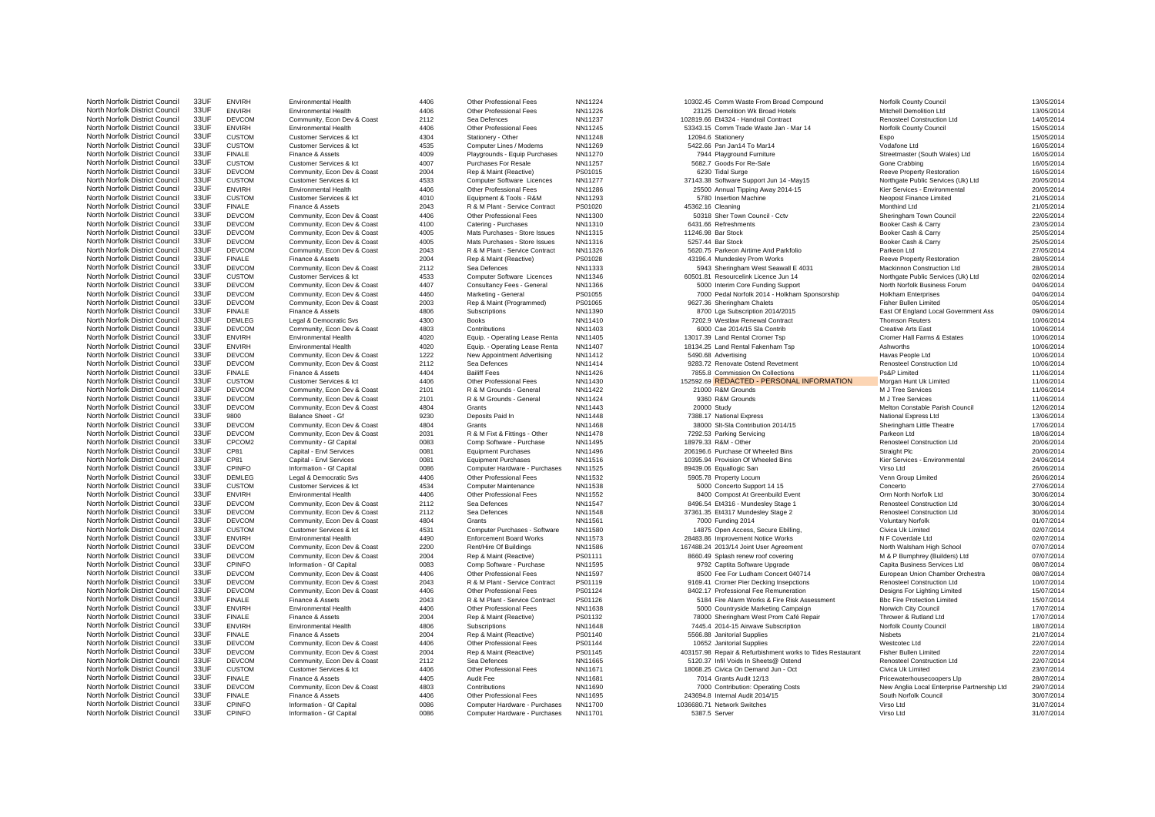| North Norfolk District Council | 33UF | <b>ENVIRH</b> | <b>Environmental Health</b> | 4406 | Other Professional Fees        | NN11224 | 10302.45 Comm Waste From Broad Compound                    | Norfolk County Council                      | 13/05/2014 |
|--------------------------------|------|---------------|-----------------------------|------|--------------------------------|---------|------------------------------------------------------------|---------------------------------------------|------------|
| North Norfolk District Council | 33UF | <b>ENVIRH</b> | Environmental Health        | 4406 | Other Professional Fees        | NN11226 | 23125 Demolition Wk Broad Hotels                           | Mitchell Demolition Ltd                     | 13/05/2014 |
| North Norfolk District Council | 33UF | <b>DEVCOM</b> | Community, Econ Dev & Coast | 2112 | Sea Defences                   | NN11237 | 102819.66 Et4324 - Handrail Contract                       | Renosteel Construction Ltd                  | 14/05/2014 |
| North Norfolk District Council | 33UF | <b>ENVIRH</b> | <b>Environmental Health</b> | 4406 | Other Professional Fees        | NN11245 | 53343.15 Comm Trade Waste Jan - Mar 14                     | Norfolk County Council                      | 15/05/2014 |
| North Norfolk District Council | 33UF | <b>CUSTOM</b> | Customer Services & Ict     | 4304 | Stationery - Other             | NN11248 | 12094.6 Stationery                                         | Espo                                        | 15/05/2014 |
| North Norfolk District Council | 33UF | <b>CUSTOM</b> | Customer Services & Ict     | 4535 | Computer Lines / Modems        | NN11269 | 5422.66 Psn Jan14 To Mar14                                 | Vodafone Ltd                                | 16/05/2014 |
| North Norfolk District Council | 33UF | <b>FINALE</b> | Finance & Assets            | 4009 | Playgrounds - Equip Purchases  | NN11270 | 7944 Playground Furniture                                  | Streetmaster (South Wales) Ltd              | 16/05/2014 |
| North Norfolk District Council | 33UF | <b>CUSTOM</b> |                             | 4007 |                                | NN11257 | 5682.7 Goods For Re-Sale                                   |                                             |            |
|                                |      |               | Customer Services & Ict     |      | Purchases For Resale           |         |                                                            | Gone Crabbing                               | 16/05/2014 |
| North Norfolk District Council | 33UF | <b>DEVCOM</b> | Community, Econ Dev & Coast | 2004 | Rep & Maint (Reactive)         | PS01015 | 6230 Tidal Surge                                           | <b>Reeve Property Restoration</b>           | 16/05/2014 |
| North Norfolk District Council | 33UF | <b>CUSTOM</b> | Customer Services & Ict     | 4533 | Computer Software Licences     | NN11277 | 37143.38 Software Support Jun 14 -May15                    | Northgate Public Services (Uk) Ltd          | 20/05/2014 |
| North Norfolk District Council | 33UF | <b>ENVIRH</b> | <b>Environmental Health</b> | 4406 | Other Professional Fees        | NN11286 | 25500 Annual Tipping Away 2014-15                          | Kier Services - Environmental               | 20/05/2014 |
| North Norfolk District Council | 33UF | <b>CUSTOM</b> | Customer Services & Ict     | 4010 | Equipment & Tools - R&M        | NN11293 | 5780 Insertion Machine                                     | Neopost Finance Limited                     | 21/05/2014 |
| North Norfolk District Council | 33UF | <b>FINALE</b> | Finance & Assets            | 2043 | R & M Plant - Service Contract | PS01020 | 45362.16 Cleaning                                          | Monthind Ltd                                | 21/05/2014 |
| North Norfolk District Council | 33UF | <b>DEVCOM</b> | Community, Econ Dev & Coast | 4406 | Other Professional Fees        | NN11300 | 50318 Sher Town Council - Cctv                             | Sheringham Town Council                     | 22/05/2014 |
| North Norfolk District Council | 33UF | <b>DEVCOM</b> | Community, Econ Dev & Coast | 4100 | Catering - Purchases           | NN11310 | 6431.66 Refreshments                                       | Booker Cash & Carry                         | 23/05/2014 |
| North Norfolk District Council | 33UF | <b>DEVCOM</b> | Community, Econ Dev & Coast | 4005 | Mats Purchases - Store Issues  | NN11315 | 11246.98 Bar Stock                                         | Booker Cash & Carry                         | 25/05/2014 |
| North Norfolk District Council | 33UF | <b>DEVCOM</b> | Community, Econ Dev & Coast | 4005 | Mats Purchases - Store Issues  | NN11316 | 5257.44 Bar Stock                                          | Booker Cash & Carry                         | 25/05/2014 |
| North Norfolk District Council | 33UF | <b>DEVCOM</b> | Community, Econ Dev & Coast | 2043 | R & M Plant - Service Contract | NN11326 | 5620.75 Parkeon Airtime And Parkfolio                      | Parkeon Ltd                                 | 27/05/2014 |
| North Norfolk District Council | 33UF | <b>FINALE</b> |                             | 2004 |                                | PS01028 |                                                            |                                             | 28/05/2014 |
|                                | 33UF |               | Finance & Assets            |      | Rep & Maint (Reactive)         |         | 43196.4 Mundesley Prom Works                               | <b>Reeve Property Restoration</b>           |            |
| North Norfolk District Council |      | <b>DEVCOM</b> | Community, Econ Dev & Coast | 2112 | Sea Defences                   | NN11333 | 5943 Sheringham West Seawall E 4031                        | Mackinnon Construction Ltd                  | 28/05/2014 |
| North Norfolk District Council | 33UF | <b>CUSTOM</b> | Customer Services & Ict     | 4533 | Computer Software Licences     | NN11346 | 60501.81 Resourcelink Licence Jun 14                       | Northgate Public Services (Uk) Ltd          | 02/06/2014 |
| North Norfolk District Council | 33UF | <b>DEVCOM</b> | Community, Econ Dev & Coast | 4407 | Consultancy Fees - General     | NN11366 | 5000 Interim Core Funding Support                          | North Norfolk Business Forum                | 04/06/2014 |
| North Norfolk District Council | 33UF | <b>DEVCOM</b> | Community, Econ Dev & Coast | 4460 | Marketing - General            | PS01055 | 7000 Pedal Norfolk 2014 - Holkham Sponsorship              | <b>Holkham Enterprises</b>                  | 04/06/2014 |
| North Norfolk District Council | 33UF | <b>DEVCOM</b> | Community, Econ Dev & Coast | 2003 | Rep & Maint (Programmed)       | PS01065 | 9627.36 Sheringham Chalets                                 | <b>Fisher Bullen Limited</b>                | 05/06/2014 |
| North Norfolk District Council | 33UF | <b>FINALE</b> | Finance & Assets            | 4806 | Subscriptions                  | NN11390 | 8700 Lga Subscription 2014/2015                            | East Of England Local Government Ass        | 09/06/2014 |
| North Norfolk District Council | 33UF | <b>DEMLEG</b> | Legal & Democratic Svs      | 4300 | <b>Books</b>                   | NN11410 | 7202.9 Westlaw Renewal Contract                            | <b>Thomson Reuters</b>                      | 10/06/2014 |
| North Norfolk District Council | 33UF | <b>DEVCOM</b> | Community, Econ Dev & Coast | 4803 | Contributions                  | NN11403 | 6000 Cae 2014/15 Sla Contrib                               | <b>Creative Arts East</b>                   | 10/06/2014 |
| North Norfolk District Council | 33UF | <b>ENVIRH</b> | <b>Environmental Health</b> | 4020 | Equip. - Operating Lease Renta | NN11405 | 13017.39 Land Rental Cromer Tsp                            | Cromer Hall Farms & Estates                 | 10/06/2014 |
| North Norfolk District Council | 33UF | <b>ENVIRH</b> | <b>Environmental Health</b> | 4020 | Equip. - Operating Lease Renta | NN11407 | 18134.25 Land Rental Fakenham Tsp                          | Ashworths                                   | 10/06/2014 |
| North Norfolk District Council | 33UF | <b>DEVCOM</b> |                             | 1222 |                                | NN11412 |                                                            |                                             | 10/06/2014 |
| North Norfolk District Council | 33UF | <b>DEVCOM</b> | Community, Econ Dev & Coast | 2112 | New Appointment Advertising    |         | 5490.68 Advertising                                        | Havas People Ltd                            |            |
|                                |      |               | Community, Econ Dev & Coast |      | Sea Defences                   | NN11414 | 9283.72 Renovate Ostend Revetment                          | Renosteel Construction Ltd                  | 10/06/2014 |
| North Norfolk District Council | 33UF | <b>FINALE</b> | Finance & Assets            | 4404 | <b>Bailiff Fees</b>            | NN11426 | 7855.8 Commission On Collections                           | Ps&P Limited                                | 11/06/2014 |
| North Norfolk District Council | 33UF | <b>CUSTOM</b> | Customer Services & Ict     | 4406 | Other Professional Fees        | NN11430 | 152592.69 REDACTED - PERSONAL INFORMATION                  | Morgan Hunt Uk Limited                      | 11/06/2014 |
| North Norfolk District Council | 33UF | <b>DEVCOM</b> | Community, Econ Dev & Coast | 2101 | R & M Grounds - General        | NN11422 | 21000 R&M Grounds                                          | M J Tree Services                           | 11/06/2014 |
| North Norfolk District Council | 33UF | <b>DEVCOM</b> | Community, Econ Dev & Coast | 2101 | R & M Grounds - General        | NN11424 | 9360 R&M Grounds                                           | M.J Tree Services                           | 11/06/2014 |
| North Norfolk District Council | 33UF | <b>DEVCOM</b> | Community, Econ Dev & Coast | 4804 | Grants                         | NN11443 | 20000 Study                                                | Melton Constable Parish Council             | 12/06/2014 |
| North Norfolk District Council | 33UF | 9800          | Balance Sheet - Gf          | 9230 | Deposits Paid In               | NN11448 | 7388.17 National Express                                   | National Express Ltd                        | 13/06/2014 |
| North Norfolk District Council | 33UF | <b>DEVCOM</b> | Community, Econ Dev & Coast | 4804 | Grants                         | NN11468 | 38000 Slt-Sla Contribution 2014/15                         | Sheringham Little Theatre                   | 17/06/2014 |
| North Norfolk District Council | 33UF | <b>DEVCOM</b> | Community, Econ Dev & Coast | 2031 | R & M Fixt & Fittings - Other  | NN11478 | 7292.53 Parking Servicing                                  | Parkeon Ltd                                 | 18/06/2014 |
| North Norfolk District Council | 33UF | CPCOM2        | Community - Gf Capital      | 0083 | Comp Software - Purchase       | NN11495 | 18979.33 R&M - Other                                       | Renosteel Construction Ltd                  | 20/06/2014 |
| North Norfolk District Council | 33UF | CP81          | Capital - Envl Services     | 0081 | <b>Equipment Purchases</b>     | NN11496 | 206196.6 Purchase Of Wheeled Bins                          | Straight Plc                                | 20/06/2014 |
|                                |      |               |                             |      |                                |         |                                                            |                                             |            |
| North Norfolk District Council | 33UF | CP81          | Capital - Envl Services     | 0081 | <b>Equipment Purchases</b>     | NN11516 | 10395.94 Provision Of Wheeled Bins                         | Kier Services - Environmental               | 24/06/2014 |
| North Norfolk District Council | 33UF | CPINFO        | Information - Gf Capital    | 0086 | Computer Hardware - Purchases  | NN11525 | 89439.06 Equallogic San                                    | Virso Ltd                                   | 26/06/2014 |
| North Norfolk District Council | 33UF | <b>DEMLEG</b> | Legal & Democratic Svs      | 4406 | Other Professional Fees        | NN11532 | 5905.78 Property Locum                                     | Venn Group Limited                          | 26/06/2014 |
| North Norfolk District Council | 33UF | <b>CUSTOM</b> | Customer Services & Ict     | 4534 | Computer Maintenance           | NN11538 | 5000 Concerto Support 14 15                                | Concerto                                    | 27/06/2014 |
| North Norfolk District Council | 33UF | <b>ENVIRH</b> | Environmental Health        | 4406 | Other Professional Fees        | NN11552 | 8400 Compost At Greenbuild Event                           | Orm North Norfolk Ltd                       | 30/06/2014 |
| North Norfolk District Council | 33UF | <b>DEVCOM</b> | Community, Econ Dev & Coast | 2112 | Sea Defences                   | NN11547 | 8496.54 Et4316 - Mundesley Stage 1                         | <b>Renosteel Construction Ltd</b>           | 30/06/2014 |
| North Norfolk District Council | 33UF | <b>DEVCOM</b> | Community, Econ Dev & Coast | 2112 | Sea Defences                   | NN11548 | 37361.35 Et4317 Mundesley Stage 2                          | Renosteel Construction Ltd                  | 30/06/2014 |
| North Norfolk District Council | 33UF | <b>DEVCOM</b> | Community, Econ Dev & Coast | 4804 | Grants                         | NN11561 | 7000 Funding 2014                                          | <b>Voluntary Norfolk</b>                    | 01/07/2014 |
| North Norfolk District Council | 33UF | <b>CUSTOM</b> | Customer Services & Ict     | 4531 | Computer Purchases - Software  | NN11580 | 14875 Open Access, Secure Ebilling,                        | Civica Uk Limited                           | 02/07/2014 |
| North Norfolk District Council | 33UF | <b>ENVIRH</b> | <b>Environmental Health</b> | 4490 | <b>Enforcement Board Works</b> | NN11573 | 28483.86 Improvement Notice Works                          | N F Coverdale Ltd                           | 02/07/2014 |
| North Norfolk District Council | 33UF | <b>DEVCOM</b> | Community, Econ Dev & Coast | 2200 | Rent/Hire Of Buildings         | NN11586 | 167488.24 2013/14 Joint User Agreement                     | North Walsham High School                   | 07/07/2014 |
|                                | 33UF |               |                             |      |                                |         |                                                            |                                             |            |
| North Norfolk District Council |      | <b>DEVCOM</b> | Community, Econ Dev & Coast | 2004 | Rep & Maint (Reactive)         | PS01111 | 8660.49 Splash renew roof covering                         | M & P Bumphrey (Builders) Ltd               | 07/07/2014 |
| North Norfolk District Council | 33UF | CPINFO        | Information - Gf Capital    | 0083 | Comp Software - Purchase       | NN11595 | 9792 Captita Software Upgrade                              | Capita Business Services Ltd                | 08/07/2014 |
| North Norfolk District Council | 33UF | <b>DEVCOM</b> | Community, Econ Dev & Coast | 4406 | Other Professional Fees        | NN11597 | 8500 Fee For Ludham Concert 040714                         | European Union Chamber Orchestra            | 08/07/2014 |
| North Norfolk District Council | 33UF | <b>DEVCOM</b> | Community, Econ Dev & Coast | 2043 | R & M Plant - Service Contract | PS01119 | 9169.41 Cromer Pier Decking Insepctions                    | Renosteel Construction Ltd                  | 10/07/2014 |
| North Norfolk District Council | 33UF | <b>DEVCOM</b> | Community, Econ Dev & Coast | 4406 | Other Professional Fees        | PS01124 | 8402.17 Professional Fee Remuneration                      | Designs For Lighting Limited                | 15/07/2014 |
| North Norfolk District Council | 33UF | <b>FINALE</b> | Finance & Assets            | 2043 | R & M Plant - Service Contract | PS01126 | 5184 Fire Alarm Works & Fire Risk Assessment               | <b>Bbc Fire Protection Limited</b>          | 15/07/2014 |
| North Norfolk District Council | 33UF | <b>ENVIRH</b> | <b>Environmental Health</b> | 4406 | Other Professional Fees        | NN11638 | 5000 Countryside Marketing Campaign                        | Norwich City Council                        | 17/07/2014 |
| North Norfolk District Council | 33UF | <b>FINALE</b> | Finance & Assets            | 2004 | Rep & Maint (Reactive)         | PS01132 | 78000 Sheringham West Prom Café Repair                     | Thrower & Rutland Ltd                       | 17/07/2014 |
| North Norfolk District Council | 33UF | <b>ENVIRH</b> | <b>Environmental Health</b> | 4806 | Subscriptions                  | NN11648 | 7445.4 2014-15 Airwave Subscription                        | Norfolk County Council                      | 18/07/2014 |
| North Norfolk District Council | 33UF | <b>FINALE</b> | Finance & Assets            | 2004 | Rep & Maint (Reactive)         | PS01140 | 5566.88 Janitorial Supplies                                | <b>Nishets</b>                              | 21/07/2014 |
| North Norfolk District Council | 33UF | <b>DEVCOM</b> | Community, Econ Dev & Coast | 4406 | Other Professional Fees        | PS01144 | 10652 Janitorial Supplies                                  | Westcotec Ltd                               | 22/07/2014 |
| North Norfolk District Council | 33UF |               |                             |      |                                |         |                                                            |                                             |            |
|                                |      | <b>DEVCOM</b> | Community, Econ Dev & Coast | 2004 | Rep & Maint (Reactive)         | PS01145 | 403157.98 Repair & Refurbishment works to Tides Restaurant | Fisher Bullen Limited                       | 22/07/2014 |
| North Norfolk District Council | 33UF | <b>DEVCOM</b> | Community, Econ Dev & Coast | 2112 | Sea Defences                   | NN11665 | 5120.37 Infil Voids In Sheets@ Ostend                      | Renosteel Construction Ltd                  | 22/07/2014 |
| North Norfolk District Council | 33UF | <b>CUSTOM</b> | Customer Services & Ict     | 4406 | Other Professional Fees        | NN11671 | 18068.25 Civica On Demand Jun - Oct                        | Civica Uk Limited                           | 23/07/2014 |
| North Norfolk District Council | 33UF | <b>FINALE</b> | Finance & Assets            | 4405 | Audit Fee                      | NN11681 | 7014 Grants Audit 12/13                                    | Pricewaterhousecoopers Llp                  | 28/07/2014 |
| North Norfolk District Council | 33UF | <b>DEVCOM</b> | Community, Econ Dev & Coast | 4803 | Contributions                  | NN11690 | 7000 Contribution: Operating Costs                         | New Anglia Local Enterprise Partnership Ltd | 29/07/2014 |
| North Norfolk District Council | 33UF | <b>FINALE</b> | Finance & Assets            | 4406 | Other Professional Fees        | NN11695 | 243694.8 Internal Audit 2014/15                            | South Norfolk Council                       | 30/07/2014 |
| North Norfolk District Council | 33UF | CPINFO        | Information - Gf Capital    | 0086 | Computer Hardware - Purchases  | NN11700 | 1036680.71 Network Switches                                | Virso Ltd                                   | 31/07/2014 |
| North Norfolk District Council | 33UF | CPINFO        | Information - Gf Capital    | 0086 | Computer Hardware - Purchases  | NN11701 | 5387.5 Server                                              | Virso Ltd                                   | 31/07/2014 |
|                                |      |               |                             |      |                                |         |                                                            |                                             |            |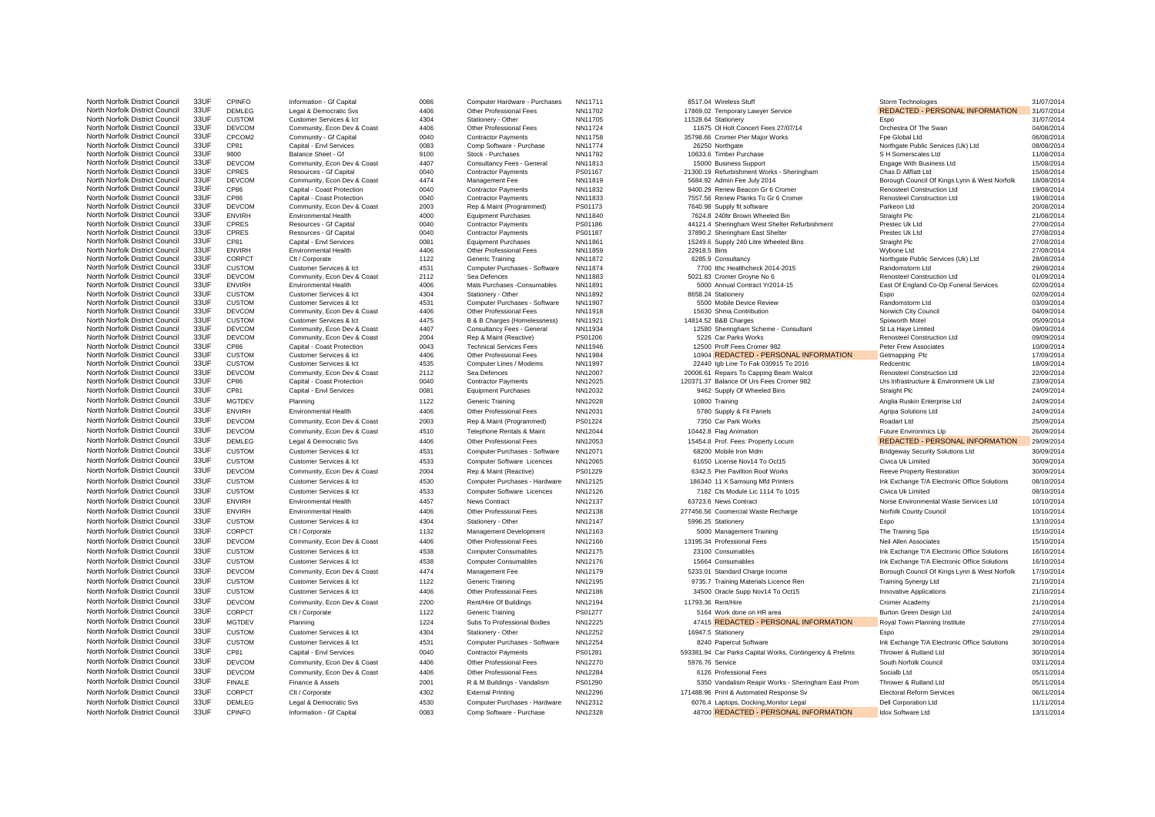| North Norfolk District Council | 33UF | <b>CPINFO</b> | Information - Gf Capital    | 0086 | Computer Hardware - Purchases  | NN11711 | 8517.04 Wireless Stuff                                   | Storm Technologies                           | 31/07/2014 |
|--------------------------------|------|---------------|-----------------------------|------|--------------------------------|---------|----------------------------------------------------------|----------------------------------------------|------------|
| North Norfolk District Council | 33UF | DEMLEG        | Legal & Democratic Svs      | 4406 | Other Professional Fees        | NN11702 | 17869.02 Temporary Lawyer Service                        | REDACTED - PERSONAL INFORMATION              | 31/07/2014 |
| North Norfolk District Council | 33UF | <b>CUSTOM</b> | Customer Services & Ict     | 4304 | Stationery - Other             | NN11705 | 11528.64 Stationery                                      | Espo                                         | 31/07/2014 |
| North Norfolk District Council | 33UF | <b>DEVCOM</b> | Community, Econ Dev & Coast | 4406 | Other Professional Fees        | NN11724 | 11675 OI Holt Concert Fees 27/07/14                      | Orchestra Of The Swan                        | 04/08/2014 |
| North Norfolk District Council | 33UF | CPCOM2        | Community - Gf Capital      | 0040 | <b>Contractor Payments</b>     | NN11758 | 35798.66 Cromer Pier Major Works                         | Fpe Global Ltd                               | 06/08/2014 |
| North Norfolk District Council | 33UF | CP81          | Capital - Envl Services     | 0083 | Comp Software - Purchase       | NN11774 | 26250 Northgate                                          | Northgate Public Services (Uk) Ltd           | 08/08/2014 |
| North Norfolk District Council | 33UF | 9800          | Balance Sheet - Gf          | 9100 | Stock - Purchases              | NN11782 | 10633.6 Timber Purchase                                  | S H Somerscales Ltd                          | 11/08/2014 |
| North Norfolk District Council | 33UF | <b>DEVCOM</b> | Community, Econ Dev & Coast | 4407 | Consultancy Fees - General     | NN11813 | 15000 Business Support                                   | Engage With Business Ltd                     | 15/08/2014 |
| North Norfolk District Council | 33UF | CPRES         | Resources - Gf Capital      | 0040 | <b>Contractor Payments</b>     | PS01167 | 21300.19 Refurbishment Works - Sheringham                | Chas D Allflatt Ltd                          | 15/08/2014 |
| North Norfolk District Council | 33UF | <b>DEVCOM</b> | Community, Econ Dev & Coast | 4474 | Management Fee                 | NN11819 | 5684.92 Admin Fee July 2014                              | Borough Council Of Kings Lynn & West Norfolk | 18/08/2014 |
| North Norfolk District Council | 33UF | CP86          | Capital - Coast Protection  | 0040 | <b>Contractor Payments</b>     | NN11832 | 9400.29 Renew Beacon Gr 6 Cromer                         | <b>Renosteel Construction Ltd</b>            | 19/08/2014 |
| North Norfolk District Council | 33UF | CP86          | Capital - Coast Protection  | 0040 | <b>Contractor Payments</b>     | NN11833 | 7557.56 Renew Planks To Gr 6 Cromer                      | Renosteel Construction Ltd                   | 19/08/2014 |
| North Norfolk District Council | 33UF | <b>DEVCOM</b> | Community, Econ Dev & Coast | 2003 | Rep & Maint (Programmed)       | PS01173 | 7640.98 Supply fit software                              | Parkeon Ltd                                  | 20/08/2014 |
| North Norfolk District Council | 33UF | <b>ENVIRH</b> | <b>Environmental Health</b> | 4000 | <b>Equipment Purchases</b>     | NN11840 | 7624.8 240ltr Brown Wheeled Bin                          | Straight Plc                                 | 21/08/2014 |
| North Norfolk District Council | 33UF | CPRES         | Resources - Gf Capital      | 0040 | <b>Contractor Payments</b>     | PS01186 | 44121.4 Sheringham West Shelter Refurbishment            | Prestec Uk Ltd                               | 27/08/2014 |
| North Norfolk District Council | 33UF | CPRES         | Resources - Gf Capital      | 0040 | <b>Contractor Payments</b>     | PS01187 | 37890.2 Sheringham East Shelter                          | Prestec Uk Ltd                               | 27/08/2014 |
| North Norfolk District Council | 33UF | CP81          | Capital - Envl Services     | 0081 | <b>Equipment Purchases</b>     | NN11861 | 15249.6 Supply 240 Litre Wheeled Bins                    | Straight Plc                                 | 27/08/2014 |
| North Norfolk District Council | 33UF | <b>ENVIRH</b> | <b>Environmental Health</b> | 4406 | Other Professional Fees        | NN11859 | 22918.5 Bins                                             | Wybone Ltd                                   | 27/08/2014 |
| North Norfolk District Council | 33UF | CORPCT        | Clt / Corporate             | 1122 | <b>Generic Training</b>        | NN11872 | 6285.9 Consultancy                                       | Northgate Public Services (Uk) Ltd           | 28/08/2014 |
| North Norfolk District Council | 33UF | <b>CUSTOM</b> | Customer Services & Ict     | 4531 | Computer Purchases - Software  | NN11874 | 7700 Ithc Healthcheck 2014-2015                          | Randomstorm Ltd                              | 29/08/2014 |
| North Norfolk District Council | 33UF | <b>DEVCOM</b> | Community, Econ Dev & Coast | 2112 | Sea Defences                   | NN11883 | 5021.83 Cromer Grovne No 6                               | Renosteel Construction Ltd                   | 01/09/2014 |
| North Norfolk District Council | 33UF | <b>ENVIRH</b> | <b>Environmental Health</b> | 4006 | Mats Purchases - Consumables   | NN11891 | 5000 Annual Contract Yr2014-15                           | East Of England Co-Op Funeral Services       | 02/09/2014 |
| North Norfolk District Council | 33UF | <b>CUSTOM</b> | Customer Services & Ict     | 4304 | Stationery - Other             | NN11892 | 8658.24 Stationery                                       | Espo                                         | 02/09/2014 |
| North Norfolk District Council | 33UF | <b>CUSTOM</b> | Customer Services & Ict     | 4531 | Computer Purchases - Software  | NN11907 | 5500 Mobile Device Review                                | Randomstorm Ltd                              | 03/09/2014 |
| North Norfolk District Council | 33UF | <b>DEVCOM</b> | Community, Econ Dev & Coast | 4406 | Other Professional Fees        | NN11918 | 15630 Shma Contribution                                  | Norwich City Council                         | 04/09/2014 |
| North Norfolk District Council | 33UF | <b>CUSTOM</b> | Customer Services & Ict     | 4475 | B & B Charges (Homelessness)   | NN11921 | 14814.52 B&B Charges                                     | Spixworth Motel                              | 05/09/2014 |
| North Norfolk District Council | 33UF | <b>DEVCOM</b> | Community, Econ Dev & Coast | 4407 | Consultancy Fees - General     | NN11934 | 12580 Sheringham Scheme - Consultant                     | St La Haye Limited                           | 09/09/2014 |
| North Norfolk District Council | 33UF | <b>DEVCOM</b> | Community, Econ Dev & Coast | 2004 | Rep & Maint (Reactive)         | PS01206 | 5226 Car Parks Works                                     | Renosteel Construction Ltd                   | 09/09/2014 |
| North Norfolk District Council | 33UF | CP86          | Capital - Coast Protection  | 0043 | <b>Technical Services Fees</b> | NN11946 | 12500 Proff Fees Cromer 982                              | Peter Frew Associates                        | 10/09/2014 |
| North Norfolk District Council | 33UF | <b>CUSTOM</b> | Customer Services & Ict     | 4406 | Other Professional Fees        | NN11984 | 10904 REDACTED - PERSONAL INFORMATION                    | Getmapping Plc                               | 17/09/2014 |
| North Norfolk District Council | 33UF | <b>CUSTOM</b> | Customer Services & Ict     | 4535 | Computer Lines / Modems        | NN11997 | 22440 Igb Line To Fak 030915 To 2016                     | Redcentric                                   | 18/09/2014 |
| North Norfolk District Council | 33UF | <b>DEVCOM</b> | Community, Econ Dev & Coast | 2112 | Sea Defences                   | NN12007 | 20006.61 Repairs To Capping Beam Walcot                  | Renosteel Construction Ltd                   | 22/09/2014 |
| North Norfolk District Council | 33UF | CP86          | Capital - Coast Protection  | 0040 | <b>Contractor Payments</b>     | NN12025 | 120371.37 Balance Of Urs Fees Cromer 982                 | Urs Infrastructure & Environment Uk Ltd      | 23/09/2014 |
| North Norfolk District Council | 33UF | CP81          | Capital - Envl Services     | 0081 | <b>Equipment Purchases</b>     | NN12032 | 9462 Supply Of Wheeled Bins                              | Straight Plc                                 | 24/09/2014 |
| North Norfolk District Council | 33UF |               |                             |      |                                |         |                                                          |                                              |            |
|                                |      | <b>MGTDEV</b> | Planning                    | 1122 | Generic Training               | NN12028 | 10800 Training                                           | Anglia Ruskin Enterprise Ltd                 | 24/09/2014 |
| North Norfolk District Council | 33UF | <b>ENVIRH</b> | <b>Environmental Health</b> | 4406 | Other Professional Fees        | NN12031 | 5780 Supply & Fit Panels                                 | Agripa Solutions Ltd                         | 24/09/2014 |
| North Norfolk District Council | 33UF | <b>DEVCOM</b> | Community, Econ Dev & Coast | 2003 | Rep & Maint (Programmed)       | PS01224 | 7350 Car Park Works                                      | Roadart Ltd                                  | 25/09/2014 |
| North Norfolk District Council | 33UF | <b>DEVCOM</b> | Community, Econ Dev & Coast | 4510 | Telephone Rentals & Maint      | NN12044 | 10442.8 Flag Animation                                   | Future Environmics Llp                       | 26/09/2014 |
| North Norfolk District Council | 33UF | DEMLEG        | Legal & Democratic Svs      | 4406 | Other Professional Fees        | NN12053 | 15454.8 Prof. Fees: Property Locum                       | REDACTED - PERSONAL INFORMATION              | 29/09/2014 |
| North Norfolk District Council | 33UF | <b>CUSTOM</b> | Customer Services & Ict     | 4531 | Computer Purchases - Software  | NN12071 | 68200 Mobile Iron Mdm                                    | <b>Bridgeway Security Solutions Ltd</b>      | 30/09/2014 |
| North Norfolk District Council | 33UF | <b>CUSTOM</b> | Customer Services & Ict     | 4533 | Computer Software Licences     | NN12065 | 61650 License Nov14 To Oct15                             | Civica Uk Limited                            | 30/09/2014 |
|                                |      |               |                             |      |                                |         |                                                          |                                              |            |
| North Norfolk District Council | 33UF | <b>DEVCOM</b> | Community, Econ Dev & Coast | 2004 | Rep & Maint (Reactive)         | PS01229 | 6342.5 Pier Pavillion Roof Works                         | <b>Reeve Property Restoration</b>            | 30/09/2014 |
| North Norfolk District Council | 33UF | <b>CUSTOM</b> | Customer Services & Ict     | 4530 | Computer Purchases - Hardware  | NN12125 | 186340 11 X Samsung Mfd Printers                         | Ink Exchange T/A Electronic Office Solutions | 08/10/2014 |
| North Norfolk District Council | 33UF | <b>CUSTOM</b> | Customer Services & Ict     | 4533 | Computer Software Licences     | NN12126 | 7182 Cts Module Lic 1114 To 1015                         | Civica Uk Limited                            | 08/10/2014 |
| North Norfolk District Council | 33UF | <b>ENVIRH</b> | <b>Environmental Health</b> | 4457 | <b>News Contract</b>           | NN12137 | 63723.6 News Contract                                    | Norse Environmental Waste Services Ltd       | 10/10/2014 |
| North Norfolk District Council | 33UF | <b>ENVIRH</b> | Environmental Health        | 4406 | Other Professional Fees        | NN12138 | 277456.56 Coomercial Waste Recharge                      | Norfolk County Council                       | 10/10/2014 |
| North Norfolk District Council | 33UF | <b>CUSTOM</b> | Customer Services & Ict     | 4304 | Stationery - Other             | NN12147 | 5996.25 Stationery                                       | Espo                                         | 13/10/2014 |
|                                | 33UF |               |                             |      |                                |         |                                                          |                                              |            |
| North Norfolk District Council |      | CORPCT        | Clt / Corporate             | 1132 | Management Development         | NN12163 | 5000 Management Training                                 | The Training Spa                             | 15/10/2014 |
| North Norfolk District Council | 33UF | <b>DEVCOM</b> | Community, Econ Dev & Coast | 4406 | Other Professional Fees        | NN12166 | 13195.34 Professional Fees                               | Neil Allen Associates                        | 15/10/2014 |
| North Norfolk District Council | 33UF | <b>CUSTOM</b> | Customer Services & Ict     | 4538 | <b>Computer Consumables</b>    | NN12175 | 23100 Consumables                                        | Ink Exchange T/A Electronic Office Solutions | 16/10/2014 |
| North Norfolk District Council | 33UF | <b>CUSTOM</b> | Customer Services & Ict     | 4538 | <b>Computer Consumables</b>    | NN12176 | 15664 Consumables                                        | Ink Exchange T/A Electronic Office Solutions | 16/10/2014 |
| North Norfolk District Council | 33UF | <b>DEVCOM</b> | Community, Econ Dev & Coast | 4474 | Management Fee                 | NN12179 | 5233.01 Standard Charge Income                           | Borough Council Of Kings Lynn & West Norfolk | 17/10/2014 |
| North Norfolk District Council | 33UF | <b>CUSTOM</b> | Customer Services & Ict     | 1122 | Generic Training               | NN12195 | 9735.7 Training Materials Licence Ren                    | <b>Training Synergy Ltd</b>                  | 21/10/2014 |
| North Norfolk District Council | 33UF | <b>CUSTOM</b> | Customer Services & Ict     | 4406 | Other Professional Fees        | NN12186 | 34500 Oracle Supp Nov14 To Oct15                         |                                              | 21/10/2014 |
|                                |      |               |                             |      |                                |         |                                                          | <b>Innovative Applications</b>               |            |
| North Norfolk District Council | 33UF | <b>DEVCOM</b> | Community, Econ Dev & Coast | 2200 | Rent/Hire Of Buildings         | NN12194 | 11793.36 Rent/Hire                                       | Cromer Academy                               | 21/10/2014 |
| North Norfolk District Council | 33UF | CORPCT        | Clt / Corporate             | 1122 | Generic Training               | PS01277 | 5164 Work done on HR area                                | Burton Green Design Ltd                      | 24/10/2014 |
| North Norfolk District Council | 33UF | <b>MGTDEV</b> | Planning                    | 1224 | Subs To Professional Bodies    | NN12225 | 47415 REDACTED - PERSONAL INFORMATION                    | Royal Town Planning Institute                | 27/10/2014 |
| North Norfolk District Council | 33UF | <b>CUSTOM</b> | Customer Services & Ict     | 4304 | Stationery - Other             | NN12252 | 16947.5 Stationery                                       | Espo                                         | 29/10/2014 |
| North Norfolk District Council | 33UF | <b>CUSTOM</b> | Customer Services & Ict     | 4531 | Computer Purchases - Software  | NN12254 | 8240 Papercut Software                                   | Ink Exchange T/A Electronic Office Solutions | 30/10/2014 |
| North Norfolk District Council | 33UF | CP81          | Capital - Envl Services     | 0040 | <b>Contractor Payments</b>     | PS01281 | 593381.94 Car Parks Capital Works, Contingency & Prelims | Thrower & Rutland Ltd                        | 30/10/2014 |
|                                |      |               |                             |      |                                |         |                                                          |                                              |            |
| North Norfolk District Council | 33UF | <b>DEVCOM</b> | Community, Econ Dev & Coast | 4406 | Other Professional Fees        | NN12270 | 5976.76 Service                                          | South Norfolk Council                        | 03/11/2014 |
| North Norfolk District Council | 33UF | <b>DEVCOM</b> | Community, Econ Dev & Coast | 4406 | Other Professional Fees        | NN12284 | 6126 Professional Fees                                   | Socialb Ltd                                  | 05/11/2014 |
| North Norfolk District Council | 33UF | <b>FINALE</b> | Finance & Assets            | 2001 | R & M Buildings - Vandalism    | PS01290 | 5350 Vandalism Reapir Works - Sheringham East Prom       | Thrower & Rutland Ltd                        | 05/11/2014 |
| North Norfolk District Council | 33UF | CORPCT        | Clt / Corporate             | 4302 | <b>External Printing</b>       | NN12296 | 171488.96 Print & Automated Response Sv                  | <b>Electoral Reform Services</b>             | 06/11/2014 |
| North Norfolk District Council | 33UF | <b>DEMLEG</b> | Legal & Democratic Svs      | 4530 | Computer Purchases - Hardware  | NN12312 | 6076.4 Laptops, Docking, Monitor Legal                   | <b>Dell Corporation Ltd</b>                  | 11/11/2014 |
| North Norfolk District Council | 33UF | CPINFO        | Information - Gf Capital    | 0083 | Comp Software - Purchase       | NN12328 | 48700 REDACTED - PERSONAL INFORMATION                    | Idox Software Ltd                            | 13/11/2014 |
|                                |      |               |                             |      |                                |         |                                                          |                                              |            |

| North Norfolk District Council | 33UF | <b>DEMLEG</b> | Legal & Democratic Sys      | 4406 | Other Professional Fees        | NN11702 | 17869.02 Temporary Lawyer Service                        | REDACTED - PERSONAL INFORMATION              | 31/07/2014 |
|--------------------------------|------|---------------|-----------------------------|------|--------------------------------|---------|----------------------------------------------------------|----------------------------------------------|------------|
| North Norfolk District Council | 33UF | <b>CUSTOM</b> | Customer Services & Ict     | 4304 | Stationery - Other             | NN11705 | 11528.64 Stationery                                      | Espo                                         | 31/07/2014 |
| North Norfolk District Council | 33UF | <b>DEVCOM</b> | Community, Econ Dev & Coast | 4406 | Other Professional Fees        | NN11724 | 11675 OI Holt Concert Fees 27/07/14                      | Orchestra Of The Swan                        | 04/08/2014 |
| North Norfolk District Council | 33UF | CPCOM2        | Community - Gf Capital      | 0040 | <b>Contractor Payments</b>     | NN11758 | 35798.66 Cromer Pier Major Works                         | Fpe Global Ltd                               | 06/08/2014 |
| North Norfolk District Council | 33UF | CP81          | Capital - Envl Services     | 0083 | Comp Software - Purchase       | NN11774 | 26250 Northgate                                          | Northgate Public Services (Uk) Ltd           | 08/08/2014 |
| North Norfolk District Council | 33UF | 9800          | Balance Sheet - Gf          | 9100 | Stock - Purchases              | NN11782 | 10633.6 Timber Purchase                                  | S H Somerscales Ltd                          | 11/08/2014 |
| North Norfolk District Council | 33UF | <b>DEVCOM</b> | Community, Econ Dev & Coast | 4407 | Consultancy Fees - General     | NN11813 | 15000 Business Support                                   | Engage With Business Ltd                     | 15/08/2014 |
| North Norfolk District Council | 33UF | CPRES         | Resources - Gf Capital      | 0040 | <b>Contractor Payments</b>     | PS01167 | 21300.19 Refurbishment Works - Sheringham                | Chas D Allflatt Ltd                          | 15/08/2014 |
| North Norfolk District Council | 33UF | <b>DEVCOM</b> | Community, Econ Dev & Coast | 4474 | Management Fee                 | NN11819 | 5684.92 Admin Fee July 2014                              | Borough Council Of Kings Lynn & West Norfolk | 18/08/2014 |
| North Norfolk District Council | 33UF | CP86          | Capital - Coast Protection  | 0040 | <b>Contractor Payments</b>     | NN11832 | 9400.29 Renew Beacon Gr 6 Cromer                         | Renosteel Construction Ltd                   | 19/08/2014 |
| North Norfolk District Council | 33UF | <b>CP86</b>   | Capital - Coast Protection  | 0040 | <b>Contractor Payments</b>     | NN11833 | 7557.56 Renew Planks To Gr 6 Cromer                      | <b>Renosteel Construction Ltd</b>            | 19/08/2014 |
| North Norfolk District Council | 33UF | DEVCOM        | Community, Econ Dev & Coast | 2003 | Rep & Maint (Programmed)       | PS01173 | 7640.98 Supply fit software                              | Parkeon Ltd                                  | 20/08/2014 |
| North Norfolk District Council | 33UF | <b>ENVIRH</b> | <b>Environmental Health</b> | 4000 | <b>Equipment Purchases</b>     | NN11840 | 7624.8 240ltr Brown Wheeled Bin                          | Straight Plc                                 | 21/08/2014 |
| North Norfolk District Council | 33UF | CPRES         | Resources - Gf Capital      | 0040 | <b>Contractor Payments</b>     | PS01186 | 44121.4 Sheringham West Shelter Refurbishment            | Prestec Uk Ltd                               | 27/08/2014 |
| North Norfolk District Council | 33UF | CPRES         | Resources - Gf Capital      | 0040 | <b>Contractor Payments</b>     | PS01187 | 37890.2 Sheringham East Shelter                          | Prestec Uk Ltd                               | 27/08/2014 |
| North Norfolk District Council | 33UF | CP81          | Capital - Envl Services     | 0081 | <b>Equipment Purchases</b>     | NN11861 | 15249.6 Supply 240 Litre Wheeled Bins                    | Straight Plc                                 | 27/08/2014 |
| North Norfolk District Council | 33UF | <b>ENVIRH</b> | <b>Environmental Health</b> | 4406 | Other Professional Fees        | NN11859 | 22918.5 Bins                                             | Wybone Ltd                                   | 27/08/2014 |
| North Norfolk District Council | 33UF | CORPCT        | Clt / Corporate             | 1122 | Generic Training               | NN11872 | 6285.9 Consultancy                                       | Northgate Public Services (Uk) Ltd           | 28/08/2014 |
| North Norfolk District Council | 33UF | <b>CUSTOM</b> | Customer Services & Ict     | 4531 | Computer Purchases - Software  | NN11874 | 7700 Ithc Healthcheck 2014-2015                          | Randomstorm Ltd                              | 29/08/2014 |
| North Norfolk District Council | 33UF | <b>DEVCOM</b> | Community, Econ Dev & Coast | 2112 | Sea Defences                   | NN11883 | 5021.83 Cromer Groyne No 6                               | Renosteel Construction Ltd                   | 01/09/2014 |
| North Norfolk District Council | 33UF | <b>ENVIRH</b> | <b>Environmental Health</b> | 4006 | Mats Purchases -Consumables    | NN11891 | 5000 Annual Contract Yr2014-15                           | East Of England Co-Op Funeral Services       | 02/09/2014 |
| North Norfolk District Council | 33UF | <b>CUSTOM</b> | Customer Services & Ict     | 4304 | Stationery - Other             | NN11892 | 8658.24 Stationerv                                       | Espo                                         | 02/09/2014 |
| North Norfolk District Council | 33UF | <b>CUSTOM</b> | Customer Services & Ict     | 4531 | Computer Purchases - Software  | NN11907 | 5500 Mobile Device Review                                | Randomstorm Ltd                              | 03/09/2014 |
| North Norfolk District Council | 33UF | <b>DEVCOM</b> | Community, Econ Dev & Coast | 4406 | Other Professional Fees        | NN11918 | 15630 Shma Contribution                                  | Norwich City Council                         | 04/09/2014 |
| North Norfolk District Council | 33UF | <b>CUSTOM</b> | Customer Services & Ict     | 4475 | B & B Charges (Homelessness)   | NN11921 | 14814.52 B&B Charges                                     | Spixworth Motel                              | 05/09/2014 |
| North Norfolk District Council | 33UF | <b>DEVCOM</b> | Community, Econ Dev & Coast | 4407 | Consultancy Fees - General     | NN11934 | 12580 Sheringham Scheme - Consultant                     | St La Haye Limited                           | 09/09/2014 |
| North Norfolk District Council | 33UF | <b>DEVCOM</b> | Community, Econ Dev & Coast | 2004 | Rep & Maint (Reactive)         | PS01206 | 5226 Car Parks Works                                     | Renosteel Construction Ltd                   | 09/09/2014 |
| North Norfolk District Council | 33UF | CP86          | Capital - Coast Protection  | 0043 | <b>Technical Services Fees</b> | NN11946 | 12500 Proff Fees Cromer 982                              | Peter Frew Associates                        | 10/09/2014 |
| North Norfolk District Council | 33UF | <b>CUSTOM</b> | Customer Services & Ict     | 4406 | Other Professional Fees        | NN11984 | 10904 REDACTED - PERSONAL INFORMATION                    | Getmapping Plc                               | 17/09/2014 |
| North Norfolk District Council | 33UF | <b>CUSTOM</b> | Customer Services & Ict     | 4535 | Computer Lines / Modems        | NN11997 | 22440 Igb Line To Fak 030915 To 2016                     | Redcentric                                   | 18/09/2014 |
| North Norfolk District Council | 33UF | <b>DEVCOM</b> | Community, Econ Dev & Coast | 2112 | Sea Defences                   | NN12007 | 20006.61 Repairs To Capping Beam Walcot                  | Renosteel Construction Ltd                   | 22/09/2014 |
| North Norfolk District Council | 33UF | CP86          | Capital - Coast Protection  | 0040 | <b>Contractor Payments</b>     | NN12025 | 120371.37 Balance Of Urs Fees Cromer 982                 | Urs Infrastructure & Environment Uk Ltd      | 23/09/2014 |
| North Norfolk District Council | 33UF | CP81          | Capital - Envl Services     | 0081 | <b>Equipment Purchases</b>     | NN12032 | 9462 Supply Of Wheeled Bins                              | Straight Plc                                 | 24/09/2014 |
|                                |      |               |                             |      |                                |         |                                                          |                                              |            |
| North Norfolk District Council | 33UF | <b>MGTDEV</b> | Planning                    | 1122 | Generic Training               | NN12028 | 10800 Training                                           | Anglia Ruskin Enterprise Ltd                 | 24/09/2014 |
| North Norfolk District Council | 33UF | ENVIRH        | <b>Environmental Health</b> | 4406 | Other Professional Fees        | NN12031 | 5780 Supply & Fit Panels                                 | Agripa Solutions Ltd                         | 24/09/2014 |
| North Norfolk District Council | 33UF | <b>DEVCOM</b> | Community, Econ Dev & Coast | 2003 | Rep & Maint (Programmed)       | PS01224 | 7350 Car Park Works                                      | Roadart Ltd                                  | 25/09/2014 |
| North Norfolk District Council | 33UF | <b>DEVCOM</b> | Community, Econ Dev & Coast | 4510 | Telephone Rentals & Maint      | NN12044 | 10442.8 Flag Animation                                   | <b>Future Environmics Lip</b>                | 26/09/2014 |
| North Norfolk District Council | 33UF | <b>DEMLEG</b> | Legal & Democratic Svs      | 4406 | Other Professional Fees        | NN12053 | 15454.8 Prof. Fees: Property Locum                       | REDACTED - PERSONAL INFORMATION              | 29/09/2014 |
| North Norfolk District Council | 33UF | <b>CUSTOM</b> | Customer Services & Ict     | 4531 | Computer Purchases - Software  | NN12071 | 68200 Mobile Iron Mdm                                    | <b>Bridgeway Security Solutions Ltd</b>      | 30/09/2014 |
| North Norfolk District Council | 33UF | <b>CUSTOM</b> |                             | 4533 |                                |         |                                                          |                                              |            |
|                                |      |               | Customer Services & Ict     |      | Computer Software Licences     | NN12065 | 61650 License Nov14 To Oct15                             | Civica Uk Limited                            | 30/09/2014 |
| North Norfolk District Council | 33UF | <b>DEVCOM</b> | Community, Econ Dev & Coast | 2004 | Rep & Maint (Reactive)         | PS01229 | 6342.5 Pier Pavillion Roof Works                         | Reeve Property Restoration                   | 30/09/2014 |
| North Norfolk District Council | 33UF | <b>CUSTOM</b> | Customer Services & Ict     | 4530 | Computer Purchases - Hardware  | NN12125 | 186340 11 X Samsung Mfd Printers                         | Ink Exchange T/A Electronic Office Solutions | 08/10/2014 |
| North Norfolk District Council | 33UF | <b>CUSTOM</b> | Customer Services & Ict     | 4533 | Computer Software Licences     | NN12126 | 7182 Cts Module Lic 1114 To 1015                         | Civica Uk Limited                            | 08/10/2014 |
| North Norfolk District Council | 33UF | <b>ENVIRH</b> | <b>Environmental Health</b> | 4457 | News Contract                  | NN12137 | 63723.6 News Contract                                    | Norse Environmental Waste Services Ltd       | 10/10/2014 |
| North Norfolk District Council | 33UF | <b>ENVIRH</b> | <b>Environmental Health</b> | 4406 | Other Professional Fees        | NN12138 | 277456.56 Coomercial Waste Recharge                      | Norfolk County Council                       | 10/10/2014 |
| North Norfolk District Council | 33UF | <b>CUSTOM</b> | Customer Services & Ict     | 4304 | Stationery - Other             | NN12147 | 5996.25 Stationery                                       | Espo                                         | 13/10/2014 |
|                                |      |               |                             |      |                                |         |                                                          |                                              |            |
| North Norfolk District Council | 33UF | CORPCT        | Clt / Corporate             | 1132 | Management Development         | NN12163 | 5000 Management Training                                 | The Training Spa                             | 15/10/2014 |
| North Norfolk District Council | 33UF | <b>DEVCOM</b> | Community, Econ Dev & Coast | 4406 | Other Professional Fees        | NN12166 | 13195.34 Professional Fees                               | Neil Allen Associates                        | 15/10/2014 |
| North Norfolk District Council | 33UF | <b>CUSTOM</b> | Customer Services & Ict     | 4538 | <b>Computer Consumables</b>    | NN12175 | 23100 Consumables                                        | Ink Exchange T/A Electronic Office Solutions | 16/10/2014 |
| North Norfolk District Council | 33UF | <b>CUSTOM</b> | Customer Services & Ict     | 4538 | <b>Computer Consumables</b>    | NN12176 | 15664 Consumables                                        | Ink Exchange T/A Electronic Office Solutions | 16/10/2014 |
| North Norfolk District Council | 33UF | <b>DEVCOM</b> | Community, Econ Dev & Coast | 4474 | Management Fee                 | NN12179 | 5233.01 Standard Charge Income                           | Borough Council Of Kings Lynn & West Norfolk | 17/10/2014 |
| North Norfolk District Council | 33UF | <b>CUSTOM</b> | Customer Services & Ict     | 1122 | Generic Training               | NN12195 | 9735.7 Training Materials Licence Ren                    | <b>Training Synergy Ltd</b>                  | 21/10/2014 |
|                                |      |               |                             |      |                                |         |                                                          |                                              |            |
| North Norfolk District Council | 33UF | <b>CUSTOM</b> | Customer Services & Ict     | 4406 | Other Professional Fees        | NN12186 | 34500 Oracle Supp Nov14 To Oct15                         | Innovative Applications                      | 21/10/2014 |
| North Norfolk District Council | 33UF | <b>DEVCOM</b> | Community, Econ Dev & Coast | 2200 | Rent/Hire Of Buildings         | NN12194 | 11793.36 Rent/Hire                                       | Cromer Academy                               | 21/10/2014 |
| North Norfolk District Council | 33UF | CORPCT        | Clt / Corporate             | 1122 | Generic Training               | PS01277 | 5164 Work done on HR area                                | Burton Green Design Ltd                      | 24/10/2014 |
| North Norfolk District Council | 33UF | MGTDEV        | Planning                    | 1224 | Subs To Professional Bodies    | NN12225 | 47415 REDACTED - PERSONAL INFORMATION                    | Royal Town Planning Institute                | 27/10/2014 |
| North Norfolk District Council | 33UF | <b>CUSTOM</b> | Customer Services & Ict     | 4304 | Stationery - Other             | NN12252 | 16947.5 Stationery                                       | Espo                                         | 29/10/2014 |
| North Norfolk District Council | 33UF | <b>CUSTOM</b> | Customer Services & Ict     | 4531 | Computer Purchases - Software  | NN12254 | 8240 Papercut Software                                   | Ink Exchange T/A Electronic Office Solutions | 30/10/2014 |
|                                |      |               |                             |      |                                |         |                                                          |                                              |            |
| North Norfolk District Council | 33UF | CP81          | Capital - Envl Services     | 0040 | <b>Contractor Payments</b>     | PS01281 | 593381.94 Car Parks Capital Works, Contingency & Prelims | Thrower & Rutland Ltd                        | 30/10/2014 |
| North Norfolk District Council | 33UF | <b>DEVCOM</b> | Community, Econ Dev & Coast | 4406 | Other Professional Fees        | NN12270 | 5976.76 Service                                          | South Norfolk Council                        | 03/11/2014 |
| North Norfolk District Council | 33UF | <b>DEVCOM</b> | Community, Econ Dev & Coast | 4406 | Other Professional Fees        | NN12284 | 6126 Professional Fees                                   | Socialb Ltd                                  | 05/11/2014 |
| North Norfolk District Council | 33UF | <b>FINALE</b> | Finance & Assets            | 2001 | R & M Buildings - Vandalism    | PS01290 | 5350 Vandalism Reapir Works - Sheringham East Prom       | Thrower & Rutland Ltd                        | 05/11/2014 |
| North Norfolk District Council | 33UF | CORPCT        | Clt / Corporate             | 4302 | <b>External Printing</b>       | NN12296 | 171488.96 Print & Automated Response Sv                  | <b>Electoral Reform Services</b>             | 06/11/2014 |
| North Norfolk District Council | 33UF | DEMLEG        | Legal & Democratic Svs      | 4530 | Computer Purchases - Hardware  | NN12312 | 6076.4 Laptops, Docking, Monitor Legal                   | <b>Dell Corporation Ltd</b>                  | 11/11/2014 |
| North Norfolk District Council | 33UF |               |                             |      |                                |         |                                                          |                                              |            |
|                                |      | CPINFO        | Information - Gf Capital    | 0083 | Comp Software - Purchase       | NN12328 | 48700 REDACTED - PERSONAL INFORMATION                    | Idox Software Ltd                            | 13/11/2014 |